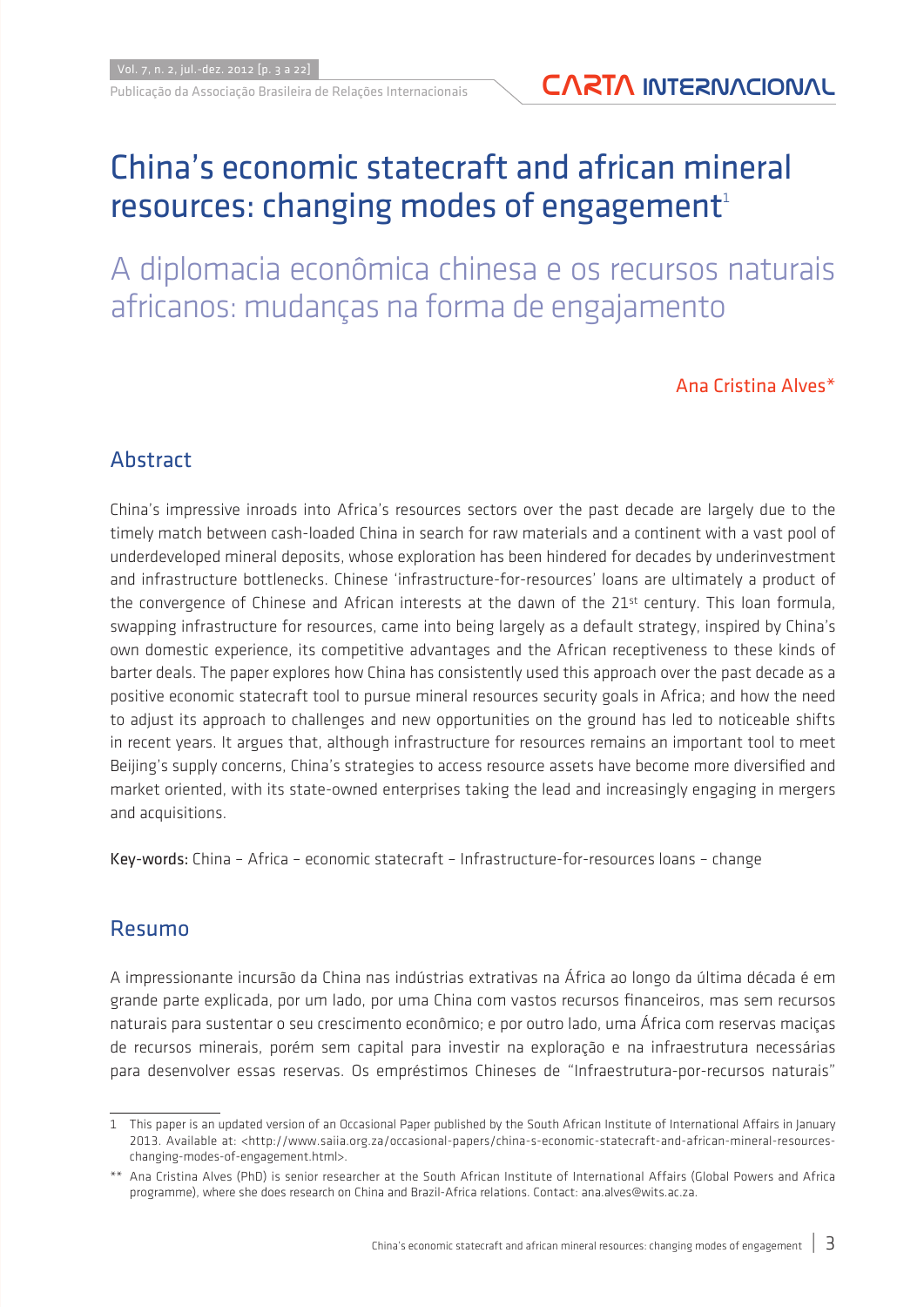# China's economic statecraft and african mineral resources: changing modes of engagement $1$

A diplomacia econômica chinesa e os recursos naturais africanos: mudanças na forma de engajamento

Ana Cristina Alves\*

### **Abstract**

China's impressive inroads into Africa's resources sectors over the past decade are largely due to the timely match between cash-loaded China in search for raw materials and a continent with a vast pool of underdeveloped mineral deposits, whose exploration has been hindered for decades by underinvestment and infrastructure bottlenecks. Chinese 'infrastructure-for-resources' loans are ultimately a product of the convergence of Chinese and African interests at the dawn of the 21<sup>st</sup> century. This loan formula, swapping infrastructure for resources, came into being largely as a default strategy, inspired by China's own domestic experience, its competitive advantages and the African receptiveness to these kinds of barter deals. The paper explores how China has consistently used this approach over the past decade as a positive economic statecraft tool to pursue mineral resources security goals in Africa; and how the need to adjust its approach to challenges and new opportunities on the ground has led to noticeable shifts in recent years. It argues that, although infrastructure for resources remains an important tool to meet Beijing's supply concerns, China's strategies to access resource assets have become more diversified and market oriented, with its state-owned enterprises taking the lead and increasingly engaging in mergers and acquisitions.

Key-words: China – Africa – economic statecraft – Infrastructure-for-resources loans – change

### Resumo

A impressionante incursão da China nas indústrias extrativas na África ao longo da última década é em grande parte explicada, por um lado, por uma China com vastos recursos financeiros, mas sem recursos naturais para sustentar o seu crescimento econômico; e por outro lado, uma África com reservas maciças de recursos minerais, porém sem capital para investir na exploração e na infraestrutura necessárias para desenvolver essas reservas. Os empréstimos Chineses de "Infraestrutura-por-recursos naturais"

<sup>1</sup> This paper is an updated version of an Occasional Paper published by the South African Institute of International Affairs in January 2013. Available at: <http://www.saiia.org.za/occasional-papers/china-s-economic-statecraft-and-african-mineral-resourceschanging-modes-of-engagement.html>.

<sup>\*\*</sup> Ana Cristina Alves (PhD) is senior researcher at the South African Institute of International Affairs (Global Powers and Africa programme), where she does research on China and Brazil-Africa relations. Contact: ana.alves@wits.ac.za.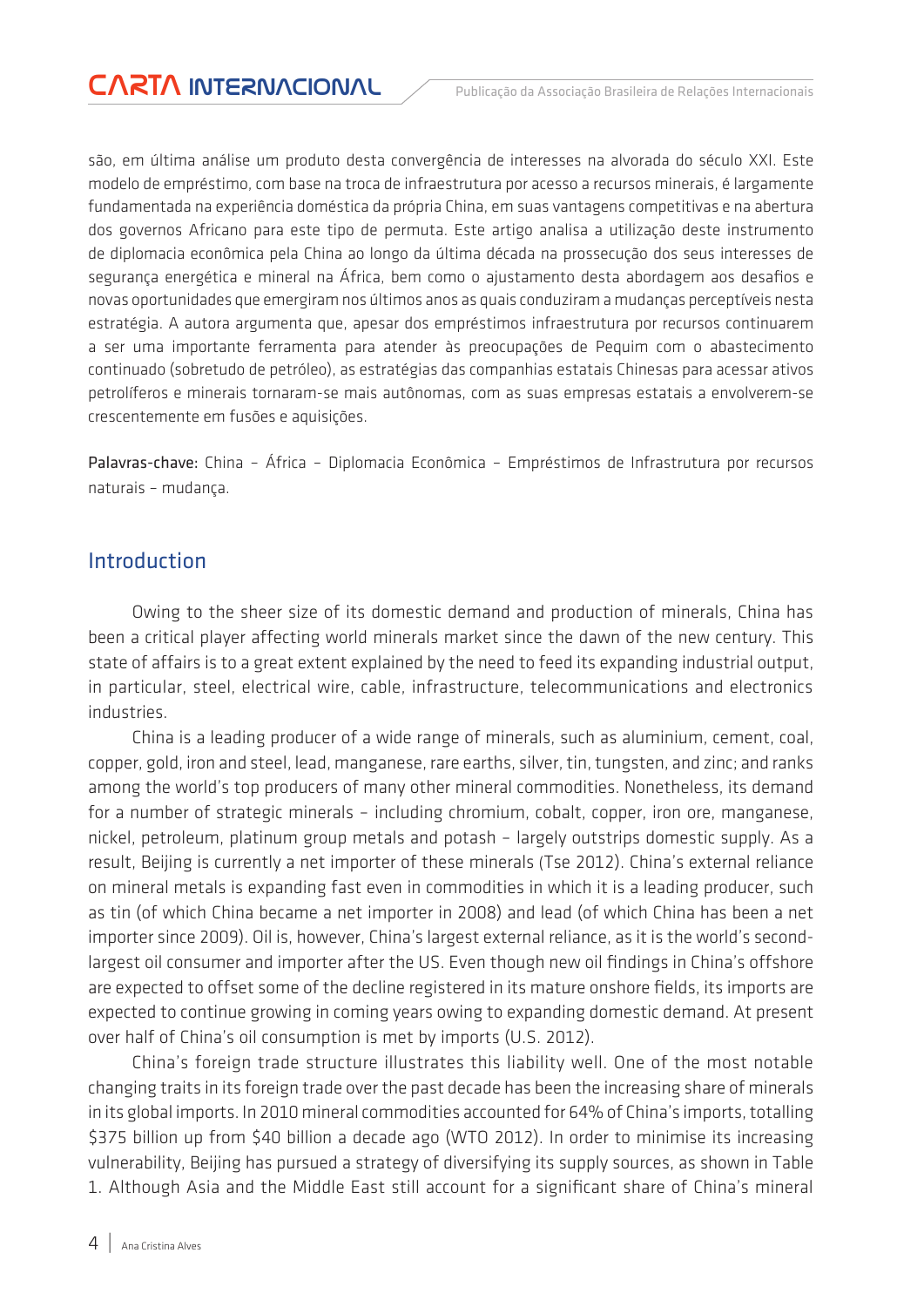são, em última análise um produto desta convergência de interesses na alvorada do século XXI. Este modelo de empréstimo, com base na troca de infraestrutura por acesso a recursos minerais, é largamente fundamentada na experiência doméstica da própria China, em suas vantagens competitivas e na abertura dos governos Africano para este tipo de permuta. Este artigo analisa a utilização deste instrumento de diplomacia econômica pela China ao longo da última década na prossecução dos seus interesses de segurança energética e mineral na África, bem como o ajustamento desta abordagem aos desafios e novas oportunidades que emergiram nos últimos anos as quais conduziram a mudanças perceptíveis nesta estratégia. A autora argumenta que, apesar dos empréstimos infraestrutura por recursos continuarem a ser uma importante ferramenta para atender às preocupações de Pequim com o abastecimento continuado (sobretudo de petróleo), as estratégias das companhias estatais Chinesas para acessar ativos petrolíferos e minerais tornaram-se mais autônomas, com as suas empresas estatais a envolverem-se crescentemente em fusões e aquisições.

Palavras-chave: China – África – Diplomacia Econômica – Empréstimos de Infrastrutura por recursos naturais – mudança.

#### Introduction

Owing to the sheer size of its domestic demand and production of minerals, China has been a critical player affecting world minerals market since the dawn of the new century. This state of affairs is to a great extent explained by the need to feed its expanding industrial output, in particular, steel, electrical wire, cable, infrastructure, telecommunications and electronics industries.

China is a leading producer of a wide range of minerals, such as aluminium, cement, coal, copper, gold, iron and steel, lead, manganese, rare earths, silver, tin, tungsten, and zinc; and ranks among the world's top producers of many other mineral commodities. Nonetheless, its demand for a number of strategic minerals – including chromium, cobalt, copper, iron ore, manganese, nickel, petroleum, platinum group metals and potash – largely outstrips domestic supply. As a result, Beijing is currently a net importer of these minerals (Tse 2012). China's external reliance on mineral metals is expanding fast even in commodities in which it is a leading producer, such as tin (of which China became a net importer in 2008) and lead (of which China has been a net importer since 2009). Oil is, however, China's largest external reliance, as it is the world's secondlargest oil consumer and importer after the US. Even though new oil findings in China's offshore are expected to offset some of the decline registered in its mature onshore fields, its imports are expected to continue growing in coming years owing to expanding domestic demand. At present over half of China's oil consumption is met by imports (U.S. 2012).

China's foreign trade structure illustrates this liability well. One of the most notable changing traits in its foreign trade over the past decade has been the increasing share of minerals in its global imports. In 2010 mineral commodities accounted for 64% of China's imports, totalling \$375 billion up from \$40 billion a decade ago (WTO 2012). In order to minimise its increasing vulnerability, Beijing has pursued a strategy of diversifying its supply sources, as shown in Table 1. Although Asia and the Middle East still account for a significant share of China's mineral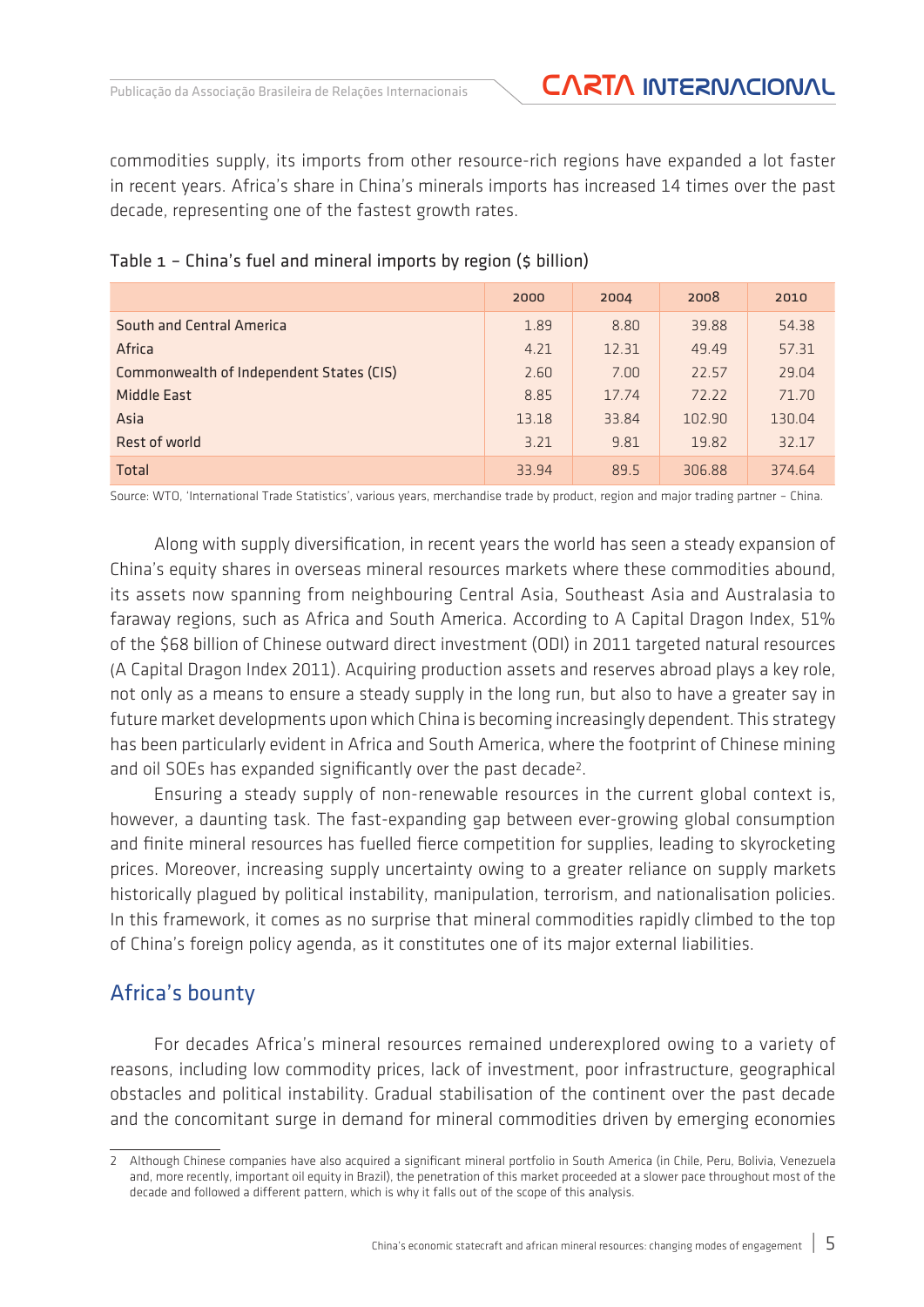commodities supply, its imports from other resource-rich regions have expanded a lot faster in recent years. Africa's share in China's minerals imports has increased 14 times over the past decade, representing one of the fastest growth rates.

|                                          | 2000  | 2004  | 2008   | 2010   |
|------------------------------------------|-------|-------|--------|--------|
| South and Central America                | 1.89  | 8.80  | 39.88  | 54.38  |
| Africa                                   | 4.21  | 12.31 | 49.49  | 57.31  |
| Commonwealth of Independent States (CIS) | 2.60  | 7.00  | 22.57  | 29.04  |
| <b>Middle East</b>                       | 8.85  | 17.74 | 72.22  | 71.70  |
| Asia                                     | 13.18 | 33.84 | 102.90 | 130.04 |
| Rest of world                            | 3.21  | 9.81  | 19.82  | 32.17  |
| Total                                    | 33.94 | 89.5  | 306.88 | 374.64 |

#### Table 1 – China's fuel and mineral imports by region (\$ billion)

Source: WTO, 'International Trade Statistics', various years, merchandise trade by product, region and major trading partner – China.

Along with supply diversification, in recent years the world has seen a steady expansion of China's equity shares in overseas mineral resources markets where these commodities abound, its assets now spanning from neighbouring Central Asia, Southeast Asia and Australasia to faraway regions, such as Africa and South America. According to A Capital Dragon Index, 51% of the \$68 billion of Chinese outward direct investment (ODI) in 2011 targeted natural resources (A Capital Dragon Index 2011). Acquiring production assets and reserves abroad plays a key role, not only as a means to ensure a steady supply in the long run, but also to have a greater say in future market developments upon which China is becoming increasingly dependent. This strategy has been particularly evident in Africa and South America, where the footprint of Chinese mining and oil SOEs has expanded significantly over the past decade<sup>2</sup>.

Ensuring a steady supply of non-renewable resources in the current global context is, however, a daunting task. The fast-expanding gap between ever-growing global consumption and finite mineral resources has fuelled fierce competition for supplies, leading to skyrocketing prices. Moreover, increasing supply uncertainty owing to a greater reliance on supply markets historically plagued by political instability, manipulation, terrorism, and nationalisation policies. In this framework, it comes as no surprise that mineral commodities rapidly climbed to the top of China's foreign policy agenda, as it constitutes one of its major external liabilities.

#### Africa's bounty

For decades Africa's mineral resources remained underexplored owing to a variety of reasons, including low commodity prices, lack of investment, poor infrastructure, geographical obstacles and political instability. Gradual stabilisation of the continent over the past decade and the concomitant surge in demand for mineral commodities driven by emerging economies

<sup>2</sup> Although Chinese companies have also acquired a significant mineral portfolio in South America (in Chile, Peru, Bolivia, Venezuela and, more recently, important oil equity in Brazil), the penetration of this market proceeded at a slower pace throughout most of the decade and followed a different pattern, which is why it falls out of the scope of this analysis.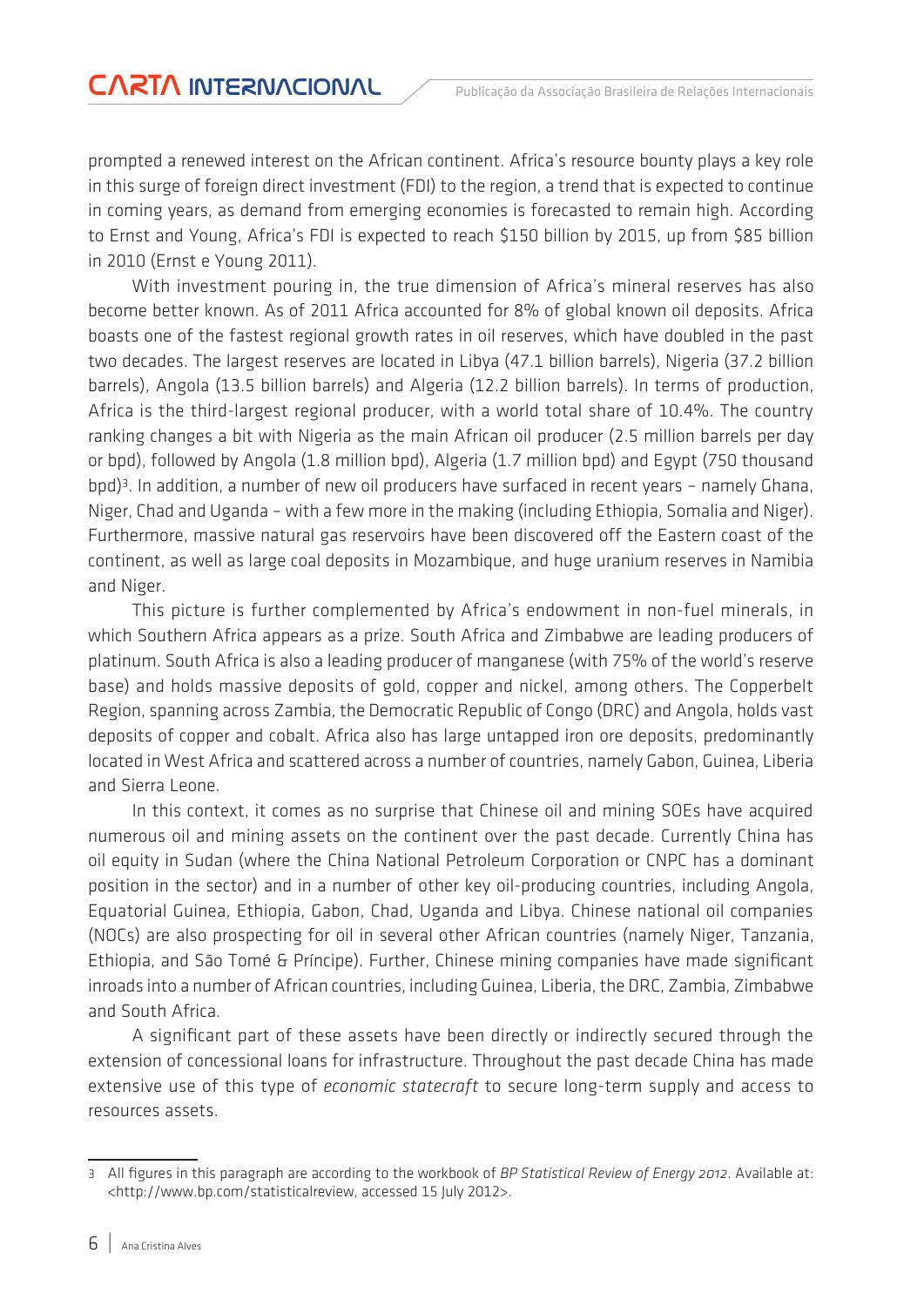prompted a renewed interest on the African continent. Africa's resource bounty plays a key role in this surge of foreign direct investment (FDI) to the region, a trend that is expected to continue in coming years, as demand from emerging economies is forecasted to remain high. According to Ernst and Young, Africa's FDI is expected to reach \$150 billion by 2015, up from \$85 billion in 2010 (Ernst e Young 2011).

With investment pouring in, the true dimension of Africa's mineral reserves has also become better known. As of 2011 Africa accounted for 8% of global known oil deposits. Africa boasts one of the fastest regional growth rates in oil reserves, which have doubled in the past two decades. The largest reserves are located in Libya (47.1 billion barrels), Nigeria (37.2 billion barrels), Angola (13.5 billion barrels) and Algeria (12.2 billion barrels). In terms of production, Africa is the third-largest regional producer, with a world total share of 10.4%. The country ranking changes a bit with Nigeria as the main African oil producer (2.5 million barrels per day or bpd), followed by Angola (1.8 million bpd), Algeria (1.7 million bpd) and Egypt (750 thousand bpd)<sup>3</sup>. In addition, a number of new oil producers have surfaced in recent years - namely Ghana, Niger, Chad and Uganda – with a few more in the making (including Ethiopia, Somalia and Niger). Furthermore, massive natural gas reservoirs have been discovered off the Eastern coast of the continent, as well as large coal deposits in Mozambique, and huge uranium reserves in Namibia and Niger.

This picture is further complemented by Africa's endowment in non-fuel minerals, in which Southern Africa appears as a prize. South Africa and Zimbabwe are leading producers of platinum. South Africa is also a leading producer of manganese (with 75% of the world's reserve base) and holds massive deposits of gold, copper and nickel, among others. The Copperbelt Region, spanning across Zambia, the Democratic Republic of Congo (DRC) and Angola, holds vast deposits of copper and cobalt. Africa also has large untapped iron ore deposits, predominantly located in West Africa and scattered across a number of countries, namely Gabon, Guinea, Liberia and Sierra Leone.

In this context, it comes as no surprise that Chinese oil and mining SOEs have acquired numerous oil and mining assets on the continent over the past decade. Currently China has oil equity in Sudan (where the China National Petroleum Corporation or CNPC has a dominant position in the sector) and in a number of other key oil-producing countries, including Angola, Equatorial Guinea, Ethiopia, Gabon, Chad, Uganda and Libya. Chinese national oil companies (NOCs) are also prospecting for oil in several other African countries (namely Niger, Tanzania, Ethiopia, and São Tomé & Príncipe). Further, Chinese mining companies have made significant inroads into a number of African countries, including Guinea, Liberia, the DRC, Zambia, Zimbabwe and South Africa.

A significant part of these assets have been directly or indirectly secured through the extension of concessional loans for infrastructure. Throughout the past decade China has made extensive use of this type of *economic statecraft* to secure long-term supply and access to resources assets.

<sup>3</sup> All figures in this paragraph are according to the workbook of *BP Statistical Review of Energy 2012*. Available at: <http://www.bp.com/statisticalreview, accessed 15 July 2012>.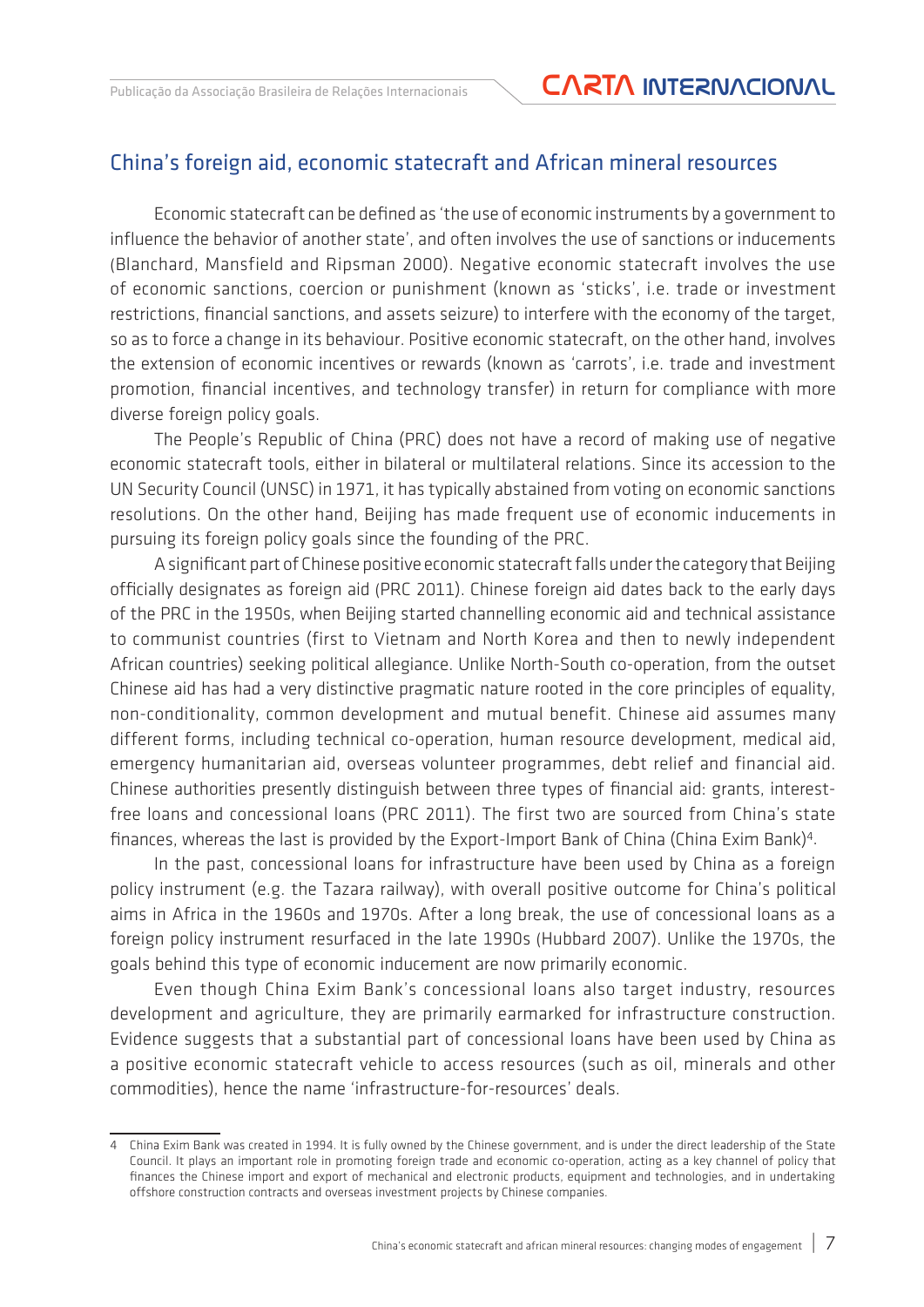#### China's foreign aid, economic statecraft and African mineral resources

Economic statecraft can be defined as 'the use of economic instruments by a government to influence the behavior of another state', and often involves the use of sanctions or inducements (Blanchard, Mansfield and Ripsman 2000). Negative economic statecraft involves the use of economic sanctions, coercion or punishment (known as 'sticks', i.e. trade or investment restrictions, financial sanctions, and assets seizure) to interfere with the economy of the target, so as to force a change in its behaviour. Positive economic statecraft, on the other hand, involves the extension of economic incentives or rewards (known as 'carrots', i.e. trade and investment promotion, financial incentives, and technology transfer) in return for compliance with more diverse foreign policy goals.

The People's Republic of China (PRC) does not have a record of making use of negative economic statecraft tools, either in bilateral or multilateral relations. Since its accession to the UN Security Council (UNSC) in 1971, it has typically abstained from voting on economic sanctions resolutions. On the other hand, Beijing has made frequent use of economic inducements in pursuing its foreign policy goals since the founding of the PRC.

A significant part of Chinese positive economic statecraft falls under the category that Beijing officially designates as foreign aid (PRC 2011). Chinese foreign aid dates back to the early days of the PRC in the 1950s, when Beijing started channelling economic aid and technical assistance to communist countries (first to Vietnam and North Korea and then to newly independent African countries) seeking political allegiance. Unlike North-South co-operation, from the outset Chinese aid has had a very distinctive pragmatic nature rooted in the core principles of equality, non-conditionality, common development and mutual benefit. Chinese aid assumes many different forms, including technical co-operation, human resource development, medical aid, emergency humanitarian aid, overseas volunteer programmes, debt relief and financial aid. Chinese authorities presently distinguish between three types of financial aid: grants, interestfree loans and concessional loans (PRC 2011). The first two are sourced from China's state finances, whereas the last is provided by the Export-Import Bank of China (China Exim Bank)4.

In the past, concessional loans for infrastructure have been used by China as a foreign policy instrument (e.g. the Tazara railway), with overall positive outcome for China's political aims in Africa in the 1960s and 1970s. After a long break, the use of concessional loans as a foreign policy instrument resurfaced in the late 1990s (Hubbard 2007). Unlike the 1970s, the goals behind this type of economic inducement are now primarily economic.

Even though China Exim Bank's concessional loans also target industry, resources development and agriculture, they are primarily earmarked for infrastructure construction. Evidence suggests that a substantial part of concessional loans have been used by China as a positive economic statecraft vehicle to access resources (such as oil, minerals and other commodities), hence the name 'infrastructure-for-resources' deals.

<sup>4</sup> China Exim Bank was created in 1994. It is fully owned by the Chinese government, and is under the direct leadership of the State Council. It plays an important role in promoting foreign trade and economic co-operation, acting as a key channel of policy that finances the Chinese import and export of mechanical and electronic products, equipment and technologies, and in undertaking offshore construction contracts and overseas investment projects by Chinese companies.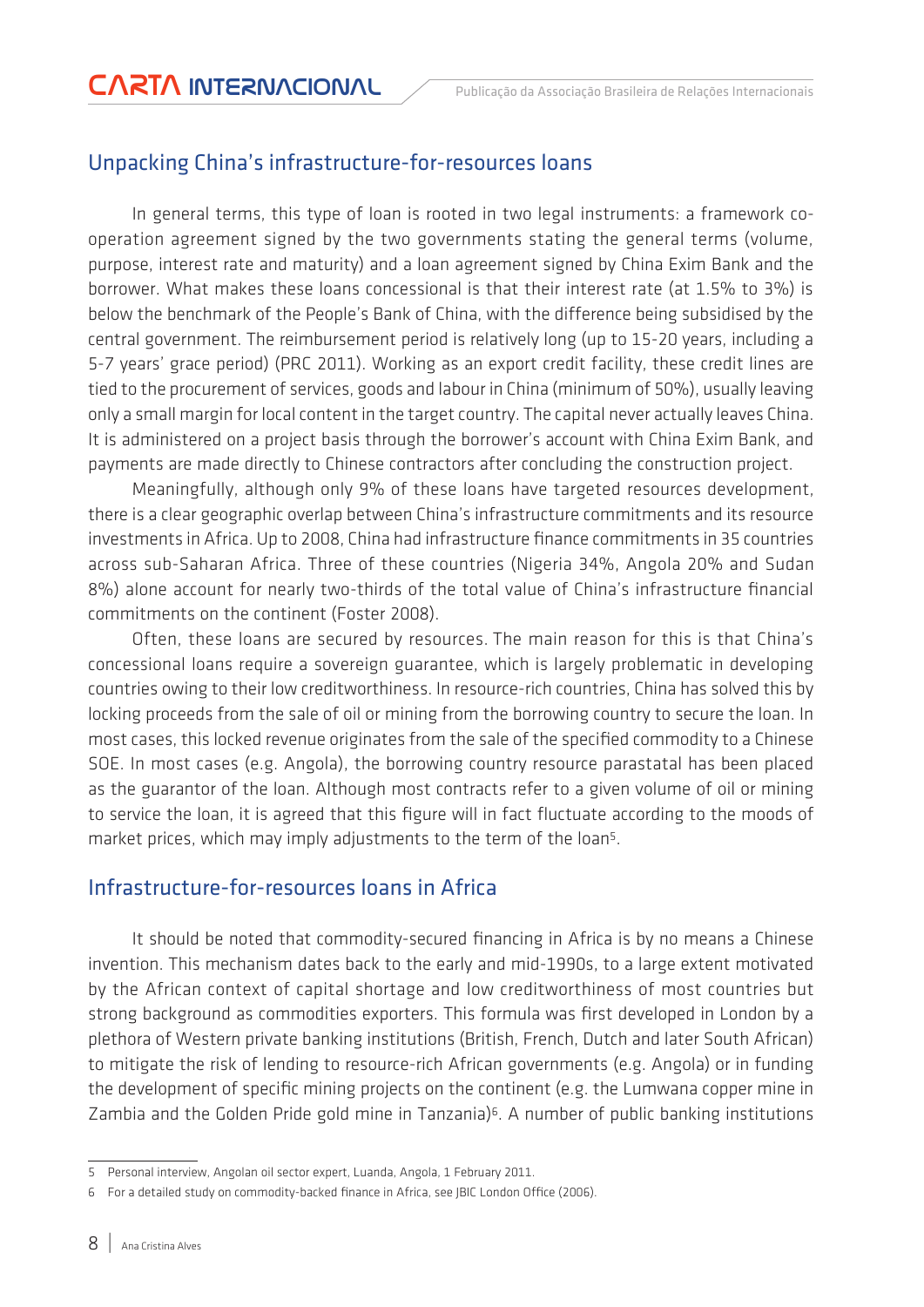### Unpacking China's infrastructure-for-resources loans

In general terms, this type of loan is rooted in two legal instruments: a framework cooperation agreement signed by the two governments stating the general terms (volume, purpose, interest rate and maturity) and a loan agreement signed by China Exim Bank and the borrower. What makes these loans concessional is that their interest rate (at 1.5% to 3%) is below the benchmark of the People's Bank of China, with the difference being subsidised by the central government. The reimbursement period is relatively long (up to 15-20 years, including a 5-7 years' grace period) (PRC 2011). Working as an export credit facility, these credit lines are tied to the procurement of services, goods and labour in China (minimum of 50%), usually leaving only a small margin for local content in the target country. The capital never actually leaves China. It is administered on a project basis through the borrower's account with China Exim Bank, and payments are made directly to Chinese contractors after concluding the construction project.

Meaningfully, although only 9% of these loans have targeted resources development, there is a clear geographic overlap between China's infrastructure commitments and its resource investments in Africa. Up to 2008, China had infrastructure finance commitments in 35 countries across sub-Saharan Africa. Three of these countries (Nigeria 34%, Angola 20% and Sudan 8%) alone account for nearly two-thirds of the total value of China's infrastructure financial commitments on the continent (Foster 2008).

Often, these loans are secured by resources. The main reason for this is that China's concessional loans require a sovereign guarantee, which is largely problematic in developing countries owing to their low creditworthiness. In resource-rich countries, China has solved this by locking proceeds from the sale of oil or mining from the borrowing country to secure the loan. In most cases, this locked revenue originates from the sale of the specified commodity to a Chinese SOE. In most cases (e.g. Angola), the borrowing country resource parastatal has been placed as the guarantor of the loan. Although most contracts refer to a given volume of oil or mining to service the loan, it is agreed that this figure will in fact fluctuate according to the moods of market prices, which may imply adjustments to the term of the loan<sup>5</sup>.

#### Infrastructure-for-resources loans in Africa

It should be noted that commodity-secured financing in Africa is by no means a Chinese invention. This mechanism dates back to the early and mid-1990s, to a large extent motivated by the African context of capital shortage and low creditworthiness of most countries but strong background as commodities exporters. This formula was first developed in London by a plethora of Western private banking institutions (British, French, Dutch and later South African) to mitigate the risk of lending to resource-rich African governments (e.g. Angola) or in funding the development of specific mining projects on the continent (e.g. the Lumwana copper mine in Zambia and the Golden Pride gold mine in Tanzania)<sup>6</sup>. A number of public banking institutions

<sup>5</sup> Personal interview, Angolan oil sector expert, Luanda, Angola, 1 February 2011.

<sup>6</sup> For a detailed study on commodity-backed finance in Africa, see JBIC London Office (2006).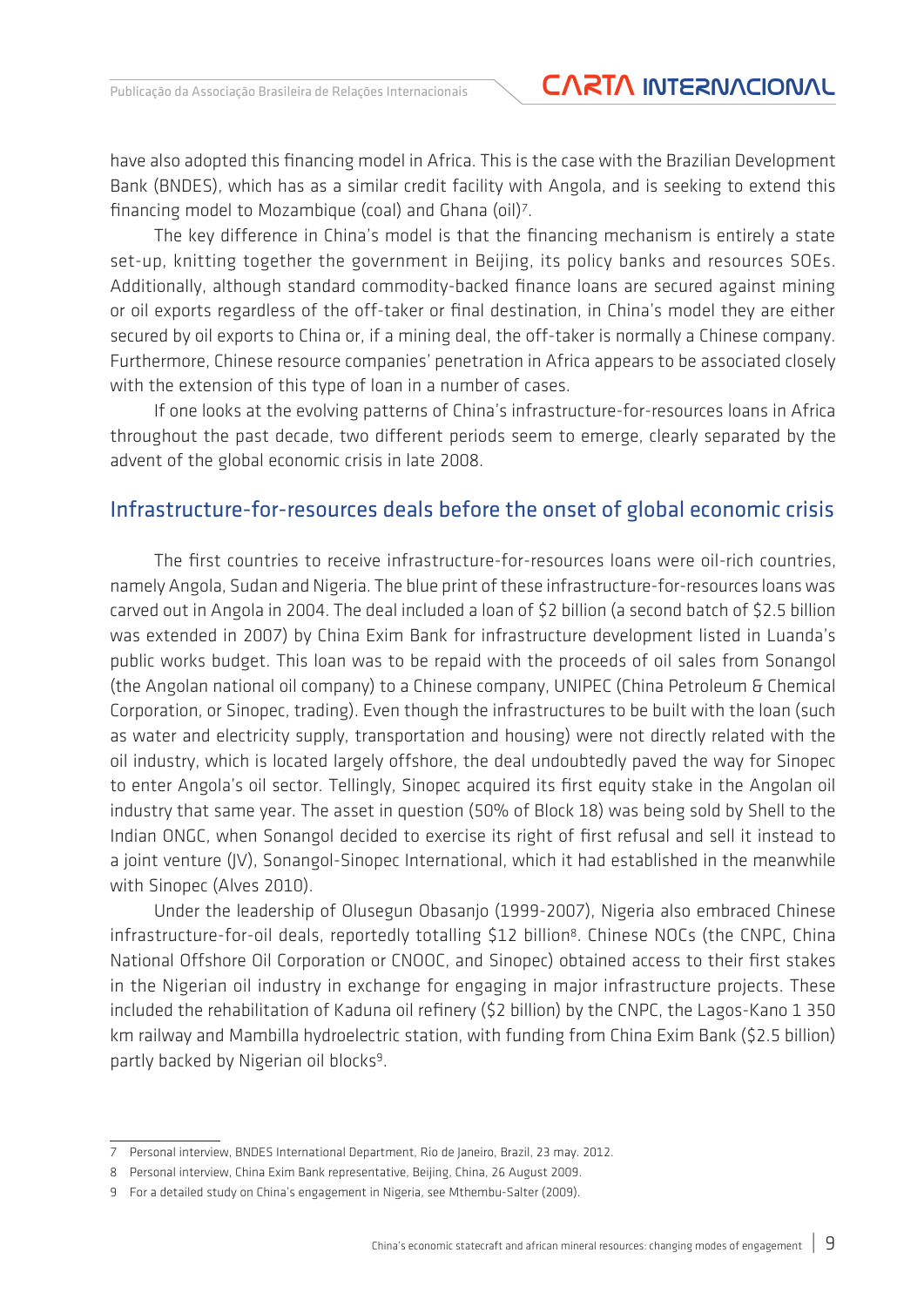have also adopted this financing model in Africa. This is the case with the Brazilian Development Bank (BNDES), which has as a similar credit facility with Angola, and is seeking to extend this financing model to Mozambique (coal) and Ghana (oil)7.

The key difference in China's model is that the financing mechanism is entirely a state set-up, knitting together the government in Beijing, its policy banks and resources SOEs. Additionally, although standard commodity-backed finance loans are secured against mining or oil exports regardless of the off-taker or final destination, in China's model they are either secured by oil exports to China or, if a mining deal, the off-taker is normally a Chinese company. Furthermore, Chinese resource companies' penetration in Africa appears to be associated closely with the extension of this type of loan in a number of cases.

If one looks at the evolving patterns of China's infrastructure-for-resources loans in Africa throughout the past decade, two different periods seem to emerge, clearly separated by the advent of the global economic crisis in late 2008.

#### Infrastructure-for-resources deals before the onset of global economic crisis

The first countries to receive infrastructure-for-resources loans were oil-rich countries, namely Angola, Sudan and Nigeria. The blue print of these infrastructure-for-resources loans was carved out in Angola in 2004. The deal included a loan of \$2 billion (a second batch of \$2.5 billion was extended in 2007) by China Exim Bank for infrastructure development listed in Luanda's public works budget. This loan was to be repaid with the proceeds of oil sales from Sonangol (the Angolan national oil company) to a Chinese company, UNIPEC (China Petroleum & Chemical Corporation, or Sinopec, trading). Even though the infrastructures to be built with the loan (such as water and electricity supply, transportation and housing) were not directly related with the oil industry, which is located largely offshore, the deal undoubtedly paved the way for Sinopec to enter Angola's oil sector. Tellingly, Sinopec acquired its first equity stake in the Angolan oil industry that same year. The asset in question (50% of Block 18) was being sold by Shell to the Indian ONGC, when Sonangol decided to exercise its right of first refusal and sell it instead to a joint venture (JV), Sonangol-Sinopec International, which it had established in the meanwhile with Sinopec (Alves 2010).

Under the leadership of Olusegun Obasanjo (1999-2007), Nigeria also embraced Chinese infrastructure-for-oil deals, reportedly totalling \$12 billion<sup>8</sup>. Chinese NOCs (the CNPC, China National Offshore Oil Corporation or CNOOC, and Sinopec) obtained access to their first stakes in the Nigerian oil industry in exchange for engaging in major infrastructure projects. These included the rehabilitation of Kaduna oil refinery (\$2 billion) by the CNPC, the Lagos-Kano 1 350 km railway and Mambilla hydroelectric station, with funding from China Exim Bank (\$2.5 billion) partly backed by Nigerian oil blocks9.

<sup>7</sup> Personal interview, BNDES International Department, Rio de Janeiro, Brazil, 23 may. 2012.

<sup>8</sup> Personal interview, China Exim Bank representative, Beijing, China, 26 August 2009.

<sup>9</sup> For a detailed study on China's engagement in Nigeria, see Mthembu-Salter (2009).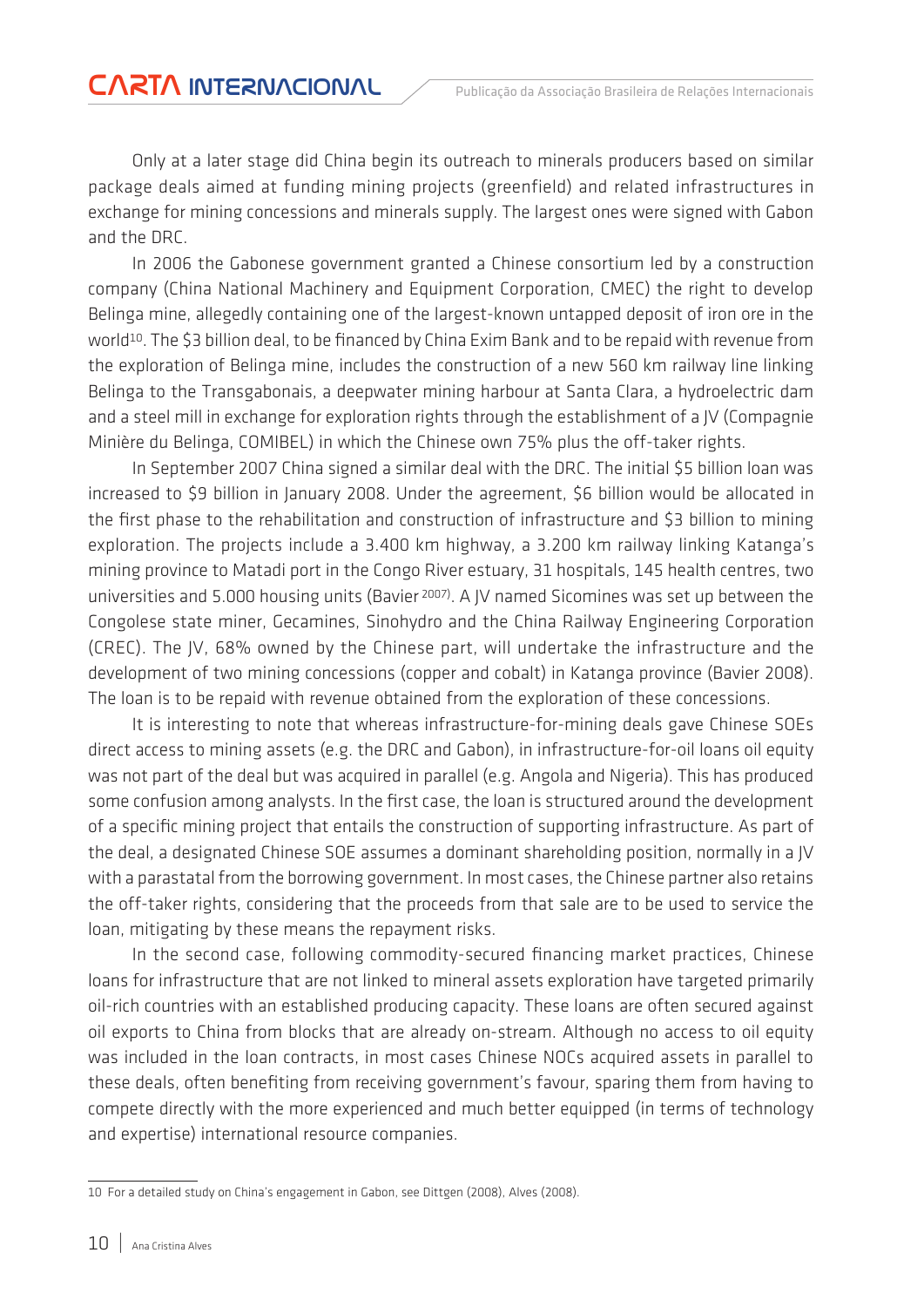Only at a later stage did China begin its outreach to minerals producers based on similar package deals aimed at funding mining projects (greenfield) and related infrastructures in exchange for mining concessions and minerals supply. The largest ones were signed with Gabon and the DRC.

In 2006 the Gabonese government granted a Chinese consortium led by a construction company (China National Machinery and Equipment Corporation, CMEC) the right to develop Belinga mine, allegedly containing one of the largest-known untapped deposit of iron ore in the world<sup>10</sup>. The \$3 billion deal, to be financed by China Exim Bank and to be repaid with revenue from the exploration of Belinga mine, includes the construction of a new 560 km railway line linking Belinga to the Transgabonais, a deepwater mining harbour at Santa Clara, a hydroelectric dam and a steel mill in exchange for exploration rights through the establishment of a JV (Compagnie Minière du Belinga, COMIBEL) in which the Chinese own 75% plus the off-taker rights.

In September 2007 China signed a similar deal with the DRC. The initial \$5 billion loan was increased to \$9 billion in January 2008. Under the agreement, \$6 billion would be allocated in the first phase to the rehabilitation and construction of infrastructure and \$3 billion to mining exploration. The projects include a 3.400 km highway, a 3.200 km railway linking Katanga's mining province to Matadi port in the Congo River estuary, 31 hospitals, 145 health centres, two universities and 5.000 housing units (Bavier <sup>2007)</sup>. A JV named Sicomines was set up between the Congolese state miner, Gecamines, Sinohydro and the China Railway Engineering Corporation (CREC). The JV, 68% owned by the Chinese part, will undertake the infrastructure and the development of two mining concessions (copper and cobalt) in Katanga province (Bavier 2008). The loan is to be repaid with revenue obtained from the exploration of these concessions.

It is interesting to note that whereas infrastructure-for-mining deals gave Chinese SOEs direct access to mining assets (e.g. the DRC and Gabon), in infrastructure-for-oil loans oil equity was not part of the deal but was acquired in parallel (e.g. Angola and Nigeria). This has produced some confusion among analysts. In the first case, the loan is structured around the development of a specific mining project that entails the construction of supporting infrastructure. As part of the deal, a designated Chinese SOE assumes a dominant shareholding position, normally in a JV with a parastatal from the borrowing government. In most cases, the Chinese partner also retains the off-taker rights, considering that the proceeds from that sale are to be used to service the loan, mitigating by these means the repayment risks.

In the second case, following commodity-secured financing market practices, Chinese loans for infrastructure that are not linked to mineral assets exploration have targeted primarily oil-rich countries with an established producing capacity. These loans are often secured against oil exports to China from blocks that are already on-stream. Although no access to oil equity was included in the loan contracts, in most cases Chinese NOCs acquired assets in parallel to these deals, often benefiting from receiving government's favour, sparing them from having to compete directly with the more experienced and much better equipped (in terms of technology and expertise) international resource companies.

<sup>10</sup> For a detailed study on China's engagement in Gabon, see Dittgen (2008), Alves (2008).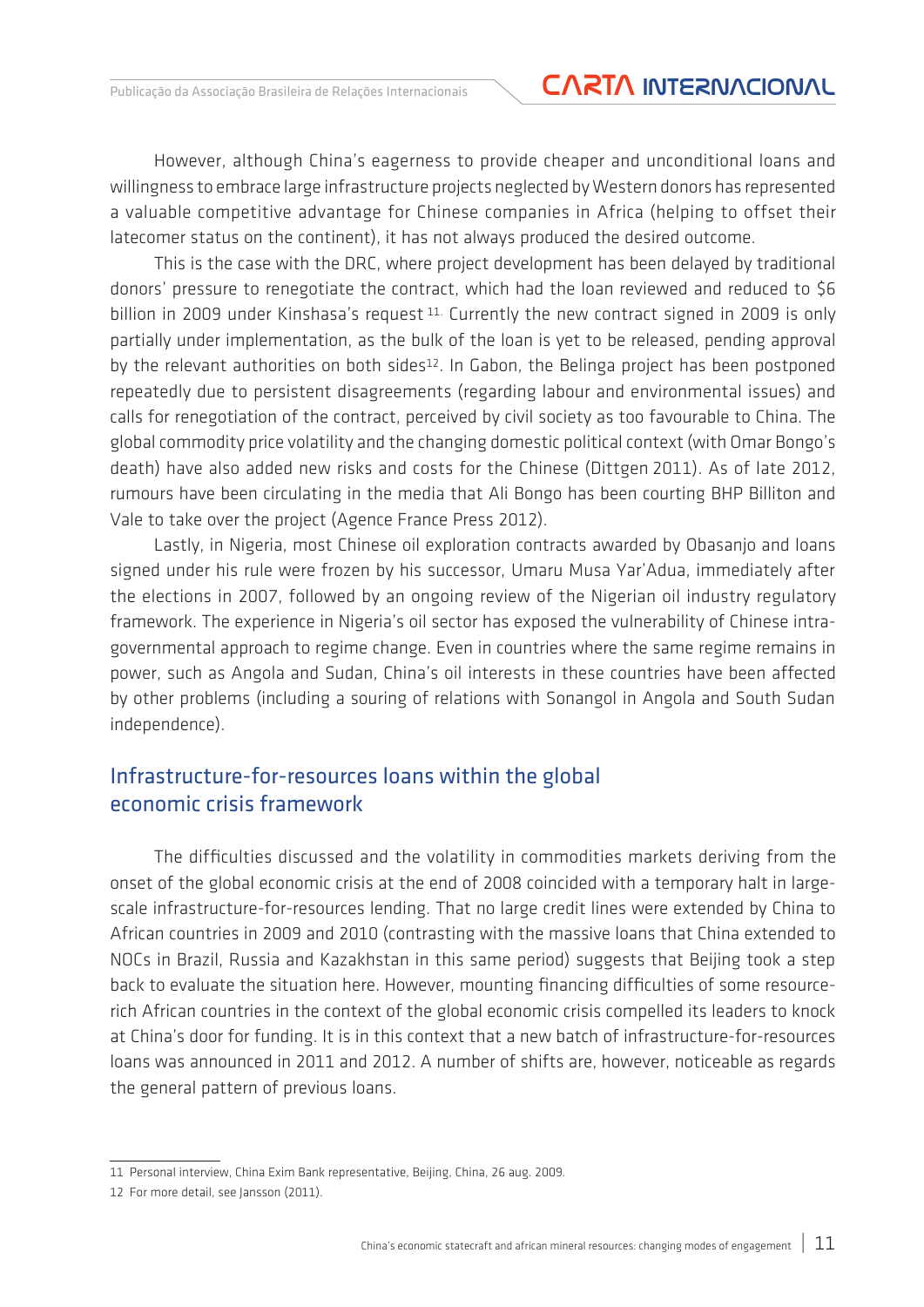However, although China's eagerness to provide cheaper and unconditional loans and willingness to embrace large infrastructure projects neglected by Western donors has represented a valuable competitive advantage for Chinese companies in Africa (helping to offset their latecomer status on the continent), it has not always produced the desired outcome.

This is the case with the DRC, where project development has been delayed by traditional donors' pressure to renegotiate the contract, which had the loan reviewed and reduced to \$6 billion in 2009 under Kinshasa's request <sup>11.</sup> Currently the new contract signed in 2009 is only partially under implementation, as the bulk of the loan is yet to be released, pending approval by the relevant authorities on both sides<sup>12</sup>. In Gabon, the Belinga project has been postponed repeatedly due to persistent disagreements (regarding labour and environmental issues) and calls for renegotiation of the contract, perceived by civil society as too favourable to China. The global commodity price volatility and the changing domestic political context (with Omar Bongo's death) have also added new risks and costs for the Chinese (Dittgen 2011). As of late 2012, rumours have been circulating in the media that Ali Bongo has been courting BHP Billiton and Vale to take over the project (Agence France Press 2012).

Lastly, in Nigeria, most Chinese oil exploration contracts awarded by Obasanjo and loans signed under his rule were frozen by his successor, Umaru Musa Yar'Adua, immediately after the elections in 2007, followed by an ongoing review of the Nigerian oil industry regulatory framework. The experience in Nigeria's oil sector has exposed the vulnerability of Chinese intragovernmental approach to regime change. Even in countries where the same regime remains in power, such as Angola and Sudan, China's oil interests in these countries have been affected by other problems (including a souring of relations with Sonangol in Angola and South Sudan independence).

### Infrastructure-for-resources loans within the global economic crisis framework

The difficulties discussed and the volatility in commodities markets deriving from the onset of the global economic crisis at the end of 2008 coincided with a temporary halt in largescale infrastructure-for-resources lending. That no large credit lines were extended by China to African countries in 2009 and 2010 (contrasting with the massive loans that China extended to NOCs in Brazil, Russia and Kazakhstan in this same period) suggests that Beijing took a step back to evaluate the situation here. However, mounting financing difficulties of some resourcerich African countries in the context of the global economic crisis compelled its leaders to knock at China's door for funding. It is in this context that a new batch of infrastructure-for-resources loans was announced in 2011 and 2012. A number of shifts are, however, noticeable as regards the general pattern of previous loans.

<sup>11</sup> Personal interview, China Exim Bank representative, Beijing, China, 26 aug. 2009*.*

<sup>12</sup> For more detail, see Jansson (2011).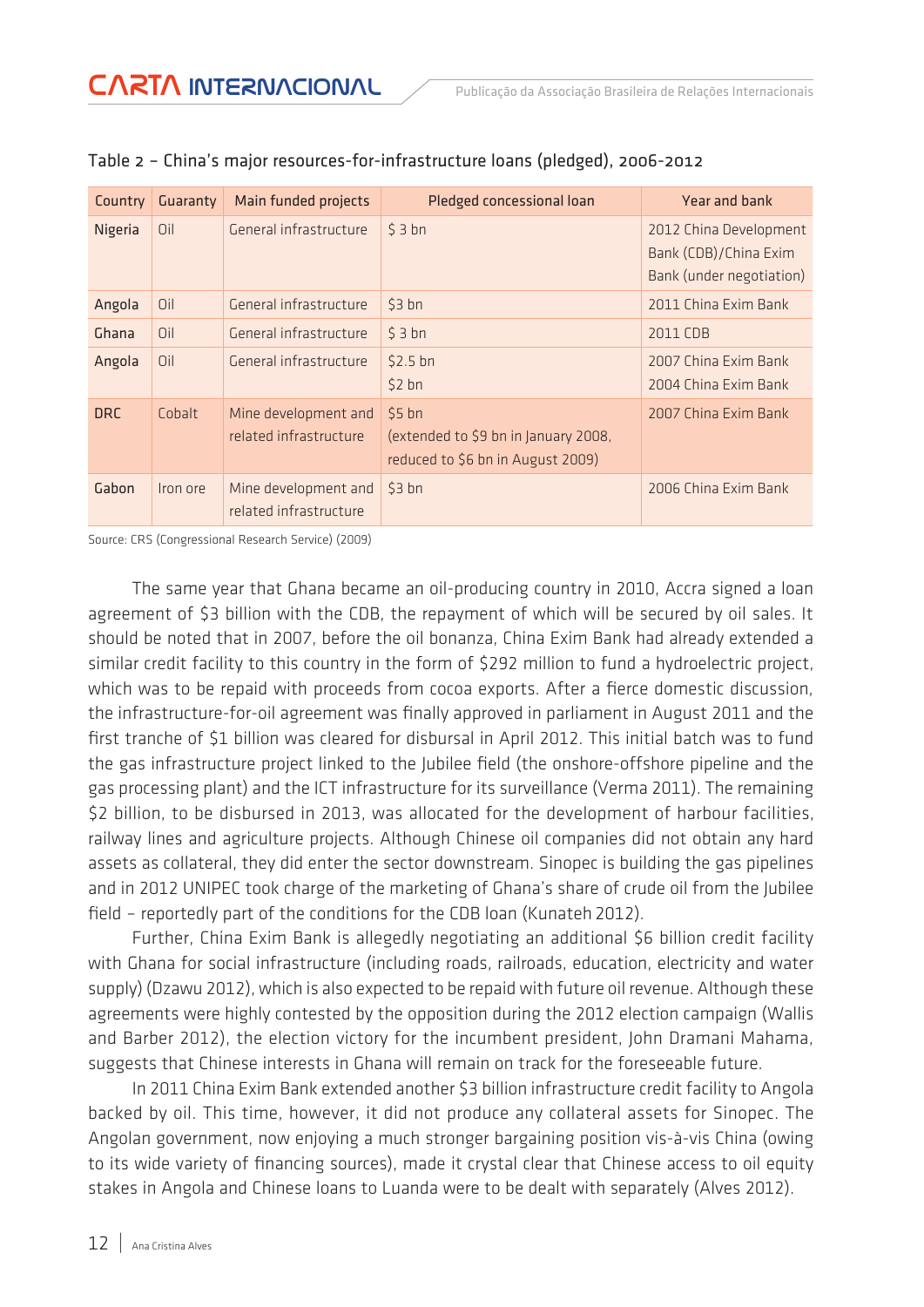| Country    | Guaranty | Main funded projects                           | Pledged concessional loan                                                            | Year and bank                                                               |
|------------|----------|------------------------------------------------|--------------------------------------------------------------------------------------|-----------------------------------------------------------------------------|
| Nigeria    | Oil      | General infrastructure                         | \$3 bh                                                                               | 2012 China Development<br>Bank (CDB)/China Exim<br>Bank (under negotiation) |
| Angola     | Oil      | General infrastructure                         | \$3 bh                                                                               | 2011 China Exim Bank                                                        |
| Ghana      | Oil      | General infrastructure                         | \$3 bh                                                                               | 2011 CDB                                                                    |
| Angola     | Oil      | General infrastructure                         | $$2.5$ bn<br>$$2$ bn                                                                 | 2007 China Exim Bank<br>2004 China Exim Bank                                |
| <b>DRC</b> | Cobalt   | Mine development and<br>related infrastructure | $$5$ bn<br>(extended to \$9 bn in January 2008,<br>reduced to \$6 bn in August 2009) | 2007 China Exim Bank                                                        |
| Gabon      | Iron ore | Mine development and<br>related infrastructure | \$3 bh                                                                               | 2006 China Exim Bank                                                        |

|  |  |  | Table 2 - China's major resources-for-infrastructure loans (pledged), 2006-2012 |  |  |  |
|--|--|--|---------------------------------------------------------------------------------|--|--|--|
|--|--|--|---------------------------------------------------------------------------------|--|--|--|

Source: CRS (Congressional Research Service) (2009)

The same year that Ghana became an oil-producing country in 2010, Accra signed a loan agreement of \$3 billion with the CDB, the repayment of which will be secured by oil sales. It should be noted that in 2007, before the oil bonanza, China Exim Bank had already extended a similar credit facility to this country in the form of \$292 million to fund a hydroelectric project, which was to be repaid with proceeds from cocoa exports. After a fierce domestic discussion, the infrastructure-for-oil agreement was finally approved in parliament in August 2011 and the first tranche of \$1 billion was cleared for disbursal in April 2012. This initial batch was to fund the gas infrastructure project linked to the Jubilee field (the onshore-offshore pipeline and the gas processing plant) and the ICT infrastructure for its surveillance (Verma 2011). The remaining \$2 billion, to be disbursed in 2013, was allocated for the development of harbour facilities, railway lines and agriculture projects. Although Chinese oil companies did not obtain any hard assets as collateral, they did enter the sector downstream. Sinopec is building the gas pipelines and in 2012 UNIPEC took charge of the marketing of Ghana's share of crude oil from the Jubilee field – reportedly part of the conditions for the CDB loan (Kunateh 2012).

Further, China Exim Bank is allegedly negotiating an additional \$6 billion credit facility with Ghana for social infrastructure (including roads, railroads, education, electricity and water supply) (Dzawu 2012), which is also expected to be repaid with future oil revenue. Although these agreements were highly contested by the opposition during the 2012 election campaign (Wallis and Barber 2012), the election victory for the incumbent president, John Dramani Mahama, suggests that Chinese interests in Ghana will remain on track for the foreseeable future.

In 2011 China Exim Bank extended another \$3 billion infrastructure credit facility to Angola backed by oil. This time, however, it did not produce any collateral assets for Sinopec. The Angolan government, now enjoying a much stronger bargaining position vis-à-vis China (owing to its wide variety of financing sources), made it crystal clear that Chinese access to oil equity stakes in Angola and Chinese loans to Luanda were to be dealt with separately (Alves 2012).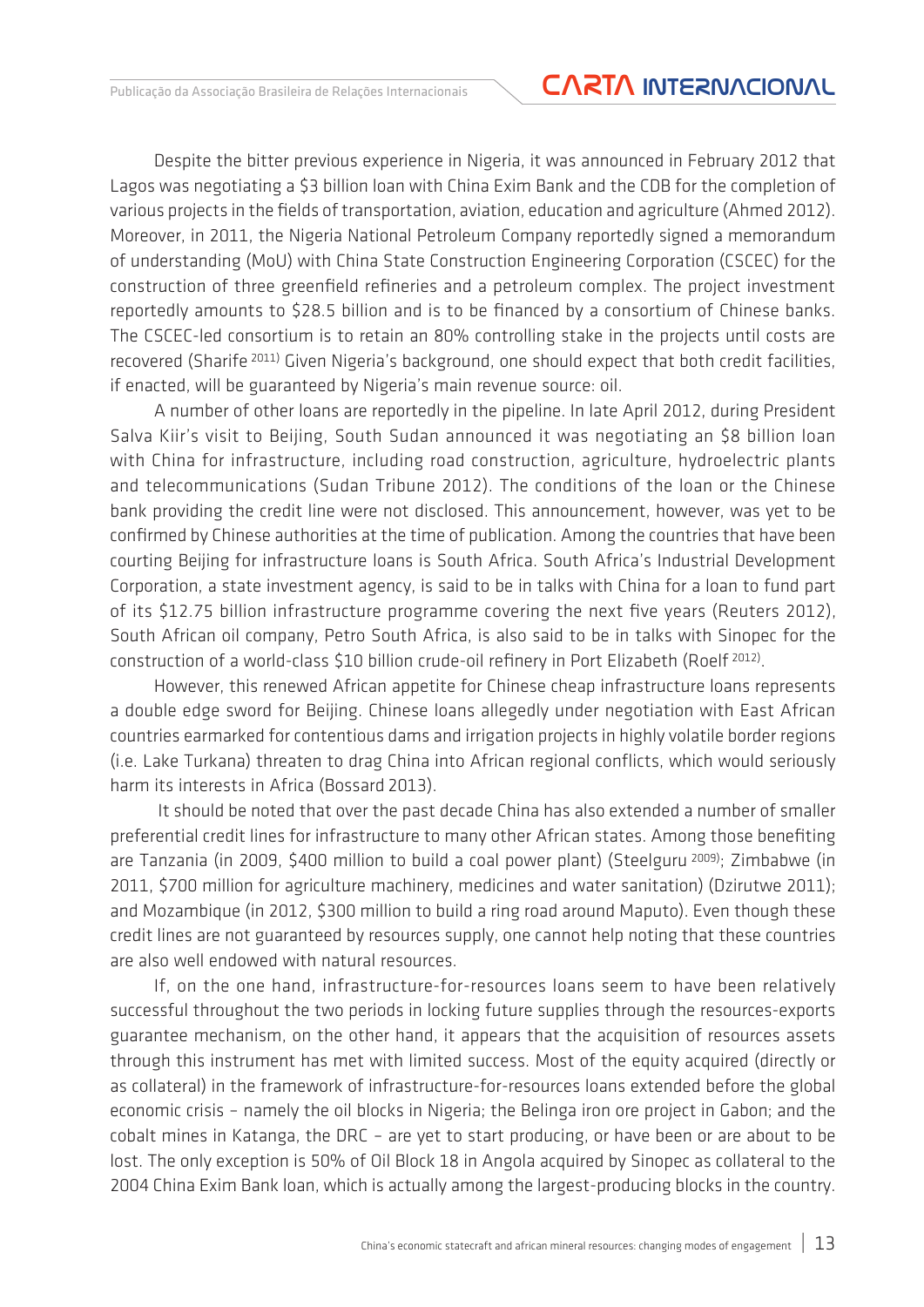## Publicação da Associação Brasileira de Relações Internacionais **CARTA INTERNACIONAL**

Despite the bitter previous experience in Nigeria, it was announced in February 2012 that Lagos was negotiating a \$3 billion loan with China Exim Bank and the CDB for the completion of various projects in the fields of transportation, aviation, education and agriculture (Ahmed 2012). Moreover, in 2011, the Nigeria National Petroleum Company reportedly signed a memorandum of understanding (MoU) with China State Construction Engineering Corporation (CSCEC) for the construction of three greenfield refineries and a petroleum complex. The project investment reportedly amounts to \$28.5 billion and is to be financed by a consortium of Chinese banks. The CSCEC-led consortium is to retain an 80% controlling stake in the projects until costs are recovered (Sharife 2011) Given Nigeria's background, one should expect that both credit facilities, if enacted, will be guaranteed by Nigeria's main revenue source: oil.

A number of other loans are reportedly in the pipeline. In late April 2012, during President Salva Kiir's visit to Beijing, South Sudan announced it was negotiating an \$8 billion loan with China for infrastructure, including road construction, agriculture, hydroelectric plants and telecommunications (Sudan Tribune 2012). The conditions of the loan or the Chinese bank providing the credit line were not disclosed. This announcement, however, was yet to be confirmed by Chinese authorities at the time of publication. Among the countries that have been courting Beijing for infrastructure loans is South Africa. South Africa's Industrial Development Corporation, a state investment agency, is said to be in talks with China for a loan to fund part of its \$12.75 billion infrastructure programme covering the next five years (Reuters 2012), South African oil company, Petro South Africa, is also said to be in talks with Sinopec for the construction of a world-class \$10 billion crude-oil refinery in Port Elizabeth (Roelf 2012).

However, this renewed African appetite for Chinese cheap infrastructure loans represents a double edge sword for Beijing. Chinese loans allegedly under negotiation with East African countries earmarked for contentious dams and irrigation projects in highly volatile border regions (i.e. Lake Turkana) threaten to drag China into African regional conflicts, which would seriously harm its interests in Africa (Bossard 2013).

 It should be noted that over the past decade China has also extended a number of smaller preferential credit lines for infrastructure to many other African states. Among those benefiting are Tanzania (in 2009, \$400 million to build a coal power plant) (Steelguru 2009); Zimbabwe (in 2011, \$700 million for agriculture machinery, medicines and water sanitation) (Dzirutwe 2011); and Mozambique (in 2012, \$300 million to build a ring road around Maputo). Even though these credit lines are not guaranteed by resources supply, one cannot help noting that these countries are also well endowed with natural resources.

If, on the one hand, infrastructure-for-resources loans seem to have been relatively successful throughout the two periods in locking future supplies through the resources-exports guarantee mechanism, on the other hand, it appears that the acquisition of resources assets through this instrument has met with limited success. Most of the equity acquired (directly or as collateral) in the framework of infrastructure-for-resources loans extended before the global economic crisis – namely the oil blocks in Nigeria; the Belinga iron ore project in Gabon; and the cobalt mines in Katanga, the DRC – are yet to start producing, or have been or are about to be lost. The only exception is 50% of Oil Block 18 in Angola acquired by Sinopec as collateral to the 2004 China Exim Bank loan, which is actually among the largest-producing blocks in the country.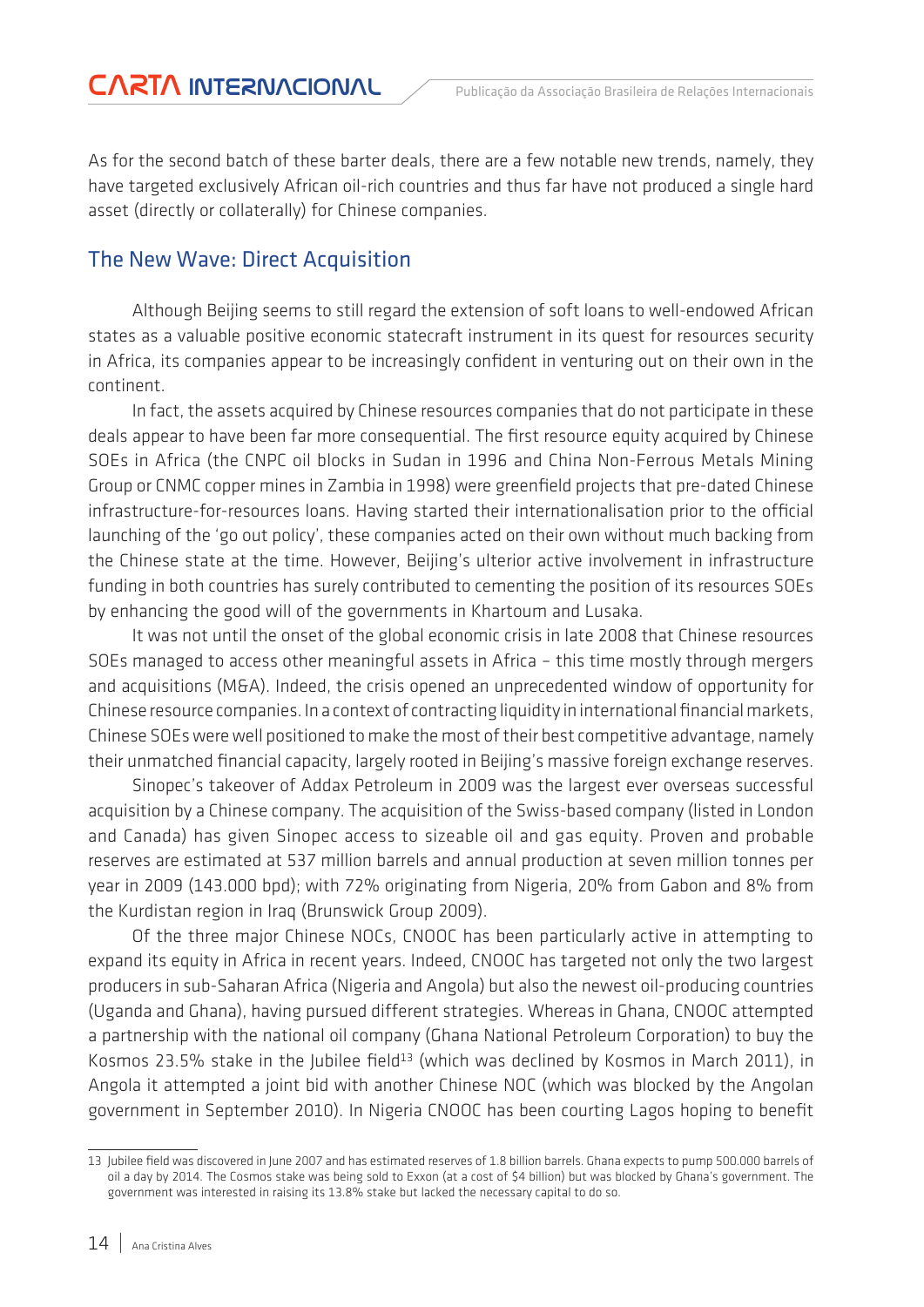As for the second batch of these barter deals, there are a few notable new trends, namely, they have targeted exclusively African oil-rich countries and thus far have not produced a single hard asset (directly or collaterally) for Chinese companies.

### The New Wave: Direct Acquisition

Although Beijing seems to still regard the extension of soft loans to well-endowed African states as a valuable positive economic statecraft instrument in its quest for resources security in Africa, its companies appear to be increasingly confident in venturing out on their own in the continent.

In fact, the assets acquired by Chinese resources companies that do not participate in these deals appear to have been far more consequential. The first resource equity acquired by Chinese SOEs in Africa (the CNPC oil blocks in Sudan in 1996 and China Non-Ferrous Metals Mining Group or CNMC copper mines in Zambia in 1998) were greenfield projects that pre-dated Chinese infrastructure-for-resources loans. Having started their internationalisation prior to the official launching of the 'go out policy', these companies acted on their own without much backing from the Chinese state at the time. However, Beijing's ulterior active involvement in infrastructure funding in both countries has surely contributed to cementing the position of its resources SOEs by enhancing the good will of the governments in Khartoum and Lusaka.

It was not until the onset of the global economic crisis in late 2008 that Chinese resources SOEs managed to access other meaningful assets in Africa – this time mostly through mergers and acquisitions (M&A). Indeed, the crisis opened an unprecedented window of opportunity for Chinese resource companies. In a context of contracting liquidity in international financial markets, Chinese SOEs were well positioned to make the most of their best competitive advantage, namely their unmatched financial capacity, largely rooted in Beijing's massive foreign exchange reserves.

Sinopec's takeover of Addax Petroleum in 2009 was the largest ever overseas successful acquisition by a Chinese company. The acquisition of the Swiss-based company (listed in London and Canada) has given Sinopec access to sizeable oil and gas equity. Proven and probable reserves are estimated at 537 million barrels and annual production at seven million tonnes per year in 2009 (143.000 bpd); with 72% originating from Nigeria, 20% from Gabon and 8% from the Kurdistan region in Iraq (Brunswick Group 2009).

Of the three major Chinese NOCs, CNOOC has been particularly active in attempting to expand its equity in Africa in recent years. Indeed, CNOOC has targeted not only the two largest producers in sub-Saharan Africa (Nigeria and Angola) but also the newest oil-producing countries (Uganda and Ghana), having pursued different strategies. Whereas in Ghana, CNOOC attempted a partnership with the national oil company (Ghana National Petroleum Corporation) to buy the Kosmos 23.5% stake in the Jubilee field<sup>13</sup> (which was declined by Kosmos in March 2011), in Angola it attempted a joint bid with another Chinese NOC (which was blocked by the Angolan government in September 2010). In Nigeria CNOOC has been courting Lagos hoping to benefit

<sup>13</sup> Jubilee field was discovered in June 2007 and has estimated reserves of 1.8 billion barrels. Ghana expects to pump 500.000 barrels of oil a day by 2014. The Cosmos stake was being sold to Exxon (at a cost of \$4 billion) but was blocked by Ghana's government. The government was interested in raising its 13.8% stake but lacked the necessary capital to do so.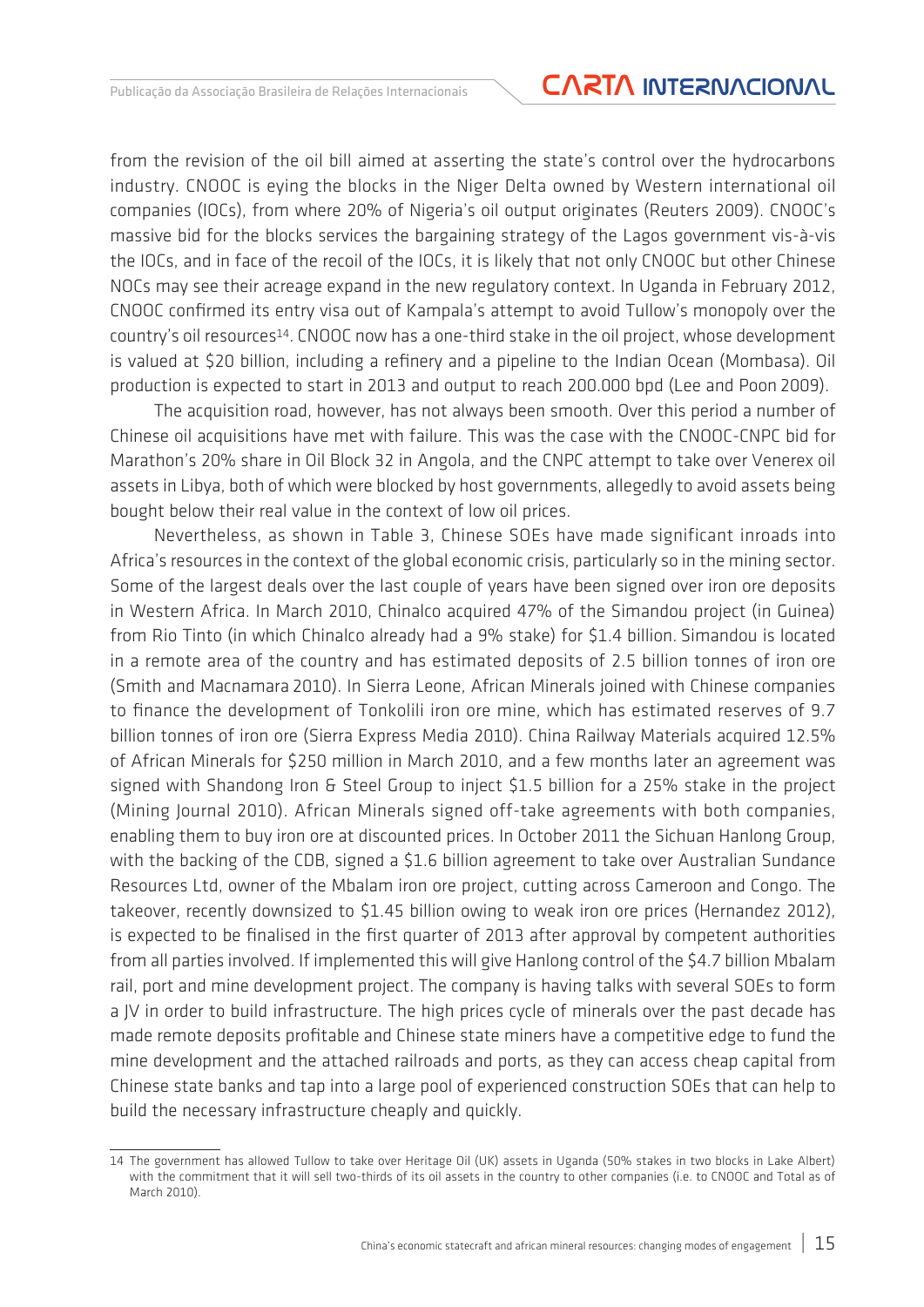from the revision of the oil bill aimed at asserting the state's control over the hydrocarbons industry. CNOOC is eying the blocks in the Niger Delta owned by Western international oil companies (IOCs), from where 20% of Nigeria's oil output originates (Reuters 2009). CNOOC's massive bid for the blocks services the bargaining strategy of the Lagos government vis-à-vis the IOCs, and in face of the recoil of the IOCs, it is likely that not only CNOOC but other Chinese NOCs may see their acreage expand in the new regulatory context. In Uganda in February 2012, CNOOC confirmed its entry visa out of Kampala's attempt to avoid Tullow's monopoly over the country's oil resources14. CNOOC now has a one-third stake in the oil project, whose development is valued at \$20 billion, including a refinery and a pipeline to the Indian Ocean (Mombasa). Oil production is expected to start in 2013 and output to reach 200.000 bpd (Lee and Poon 2009).

The acquisition road, however, has not always been smooth. Over this period a number of Chinese oil acquisitions have met with failure. This was the case with the CNOOC-CNPC bid for Marathon's 20% share in Oil Block 32 in Angola, and the CNPC attempt to take over Venerex oil assets in Libya, both of which were blocked by host governments, allegedly to avoid assets being bought below their real value in the context of low oil prices.

Nevertheless, as shown in Table 3, Chinese SOEs have made significant inroads into Africa's resources in the context of the global economic crisis, particularly so in the mining sector. Some of the largest deals over the last couple of years have been signed over iron ore deposits in Western Africa. In March 2010, Chinalco acquired 47% of the Simandou project (in Guinea) from Rio Tinto (in which Chinalco already had a 9% stake) for \$1.4 billion. Simandou is located in a remote area of the country and has estimated deposits of 2.5 billion tonnes of iron ore (Smith and Macnamara 2010). In Sierra Leone, African Minerals joined with Chinese companies to finance the development of Tonkolili iron ore mine, which has estimated reserves of 9.7 billion tonnes of iron ore (Sierra Express Media 2010). China Railway Materials acquired 12.5% of African Minerals for \$250 million in March 2010, and a few months later an agreement was signed with Shandong Iron & Steel Group to inject \$1.5 billion for a 25% stake in the project (Mining Journal 2010). African Minerals signed off-take agreements with both companies, enabling them to buy iron ore at discounted prices. In October 2011 the Sichuan Hanlong Group, with the backing of the CDB, signed a \$1.6 billion agreement to take over Australian Sundance Resources Ltd, owner of the Mbalam iron ore project, cutting across Cameroon and Congo. The takeover, recently downsized to \$1.45 billion owing to weak iron ore prices (Hernandez 2012), is expected to be finalised in the first quarter of 2013 after approval by competent authorities from all parties involved. If implemented this will give Hanlong control of the \$4.7 billion Mbalam rail, port and mine development project. The company is having talks with several SOEs to form a JV in order to build infrastructure. The high prices cycle of minerals over the past decade has made remote deposits profitable and Chinese state miners have a competitive edge to fund the mine development and the attached railroads and ports, as they can access cheap capital from Chinese state banks and tap into a large pool of experienced construction SOEs that can help to build the necessary infrastructure cheaply and quickly.

<sup>14</sup> The government has allowed Tullow to take over Heritage Oil (UK) assets in Uganda (50% stakes in two blocks in Lake Albert) with the commitment that it will sell two-thirds of its oil assets in the country to other companies (i.e. to CNOOC and Total as of March 2010).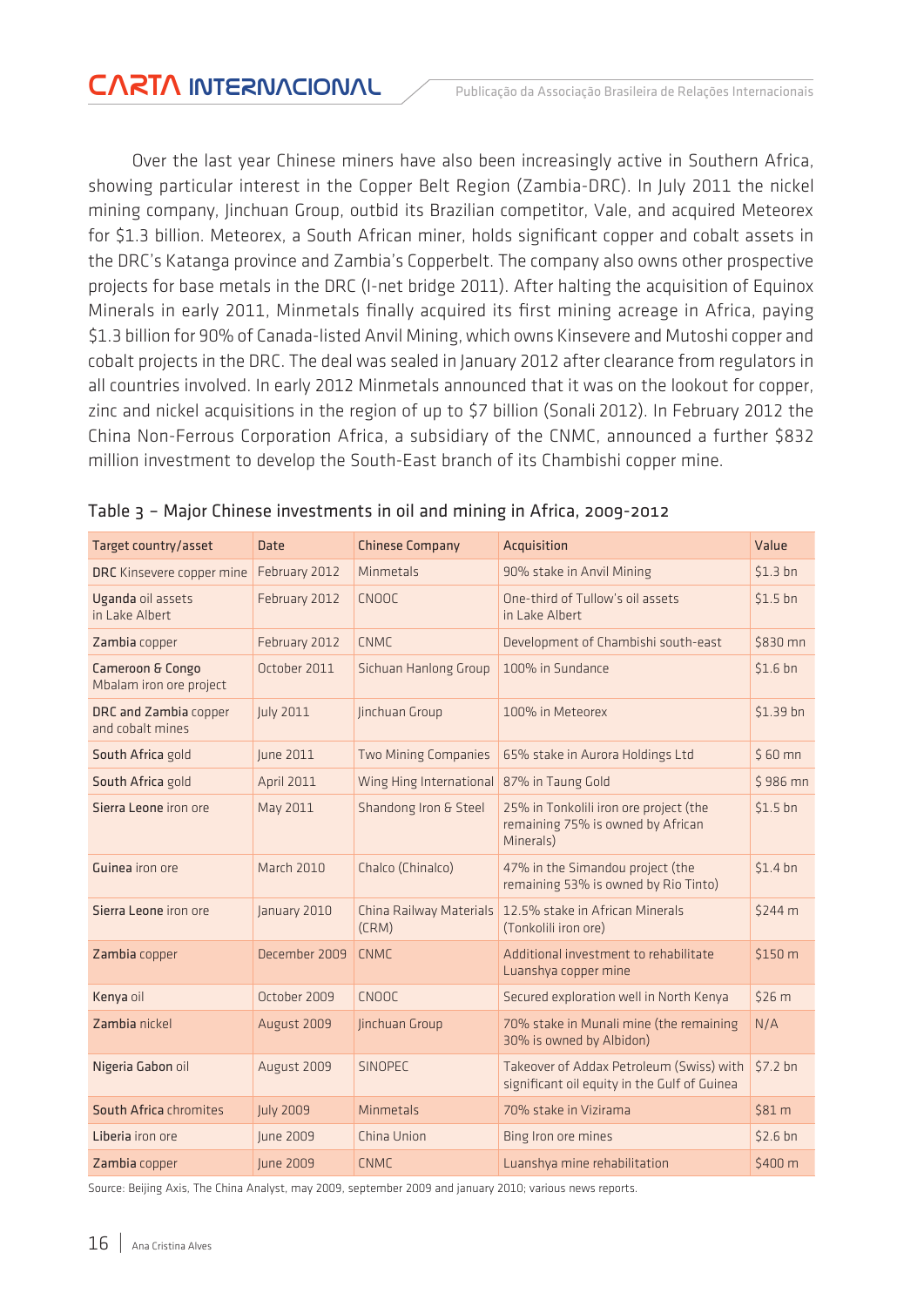Over the last year Chinese miners have also been increasingly active in Southern Africa, showing particular interest in the Copper Belt Region (Zambia-DRC). In July 2011 the nickel mining company, Jinchuan Group, outbid its Brazilian competitor, Vale, and acquired Meteorex for \$1.3 billion. Meteorex, a South African miner, holds significant copper and cobalt assets in the DRC's Katanga province and Zambia's Copperbelt. The company also owns other prospective projects for base metals in the DRC (I-net bridge 2011). After halting the acquisition of Equinox Minerals in early 2011, Minmetals finally acquired its first mining acreage in Africa, paying \$1.3 billion for 90% of Canada-listed Anvil Mining, which owns Kinsevere and Mutoshi copper and cobalt projects in the DRC. The deal was sealed in January 2012 after clearance from regulators in all countries involved. In early 2012 Minmetals announced that it was on the lookout for copper, zinc and nickel acquisitions in the region of up to \$7 billion (Sonali 2012). In February 2012 the China Non-Ferrous Corporation Africa, a subsidiary of the CNMC, announced a further \$832 million investment to develop the South-East branch of its Chambishi copper mine.

| Target country/asset                                   | <b>Date</b>       | <b>Chinese Company</b>           | Acquisition                                                                              | Value               |
|--------------------------------------------------------|-------------------|----------------------------------|------------------------------------------------------------------------------------------|---------------------|
| DRC Kinsevere copper mine                              | February 2012     | Minmetals                        | 90% stake in Anvil Mining                                                                | \$1.3 <sub>bn</sub> |
| Uganda oil assets<br>in Lake Albert                    | February 2012     | <b>CNOOC</b>                     | One-third of Tullow's oil assets<br>in Lake Albert                                       | \$1.5 <sub>bn</sub> |
| Zambia copper                                          | February 2012     | <b>CNMC</b>                      | Development of Chambishi south-east                                                      | \$830 mn            |
| <b>Cameroon &amp; Congo</b><br>Mbalam iron ore project | October 2011      | Sichuan Hanlong Group            | 100% in Sundance                                                                         | \$1.6 <sub>bn</sub> |
| DRC and Zambia copper<br>and cobalt mines              | July 2011         | Jinchuan Group                   | 100% in Meteorex                                                                         | \$1.39 bn           |
| South Africa gold                                      | June 2011         | <b>Two Mining Companies</b>      | 65% stake in Aurora Holdings Ltd                                                         | $$60$ mn            |
| South Africa gold                                      | <b>April 2011</b> | Wing Hing International          | 87% in Taung Gold                                                                        | \$986 mn            |
| Sierra Leone iron ore                                  | May 2011          | Shandong Iron & Steel            | 25% in Tonkolili iron ore project (the<br>remaining 75% is owned by African<br>Minerals) | $$1.5$ bn           |
| <b>Guinea</b> iron ore                                 | <b>March 2010</b> | Chalco (Chinalco)                | 47% in the Simandou project (the<br>remaining 53% is owned by Rio Tinto)                 | $$1.4$ bn           |
| Sierra Leone iron ore                                  | January 2010      | China Railway Materials<br>(CRM) | 12.5% stake in African Minerals<br>(Tonkolili iron ore)                                  | \$244 m             |
| Zambia copper                                          | December 2009     | <b>CNMC</b>                      | Additional investment to rehabilitate<br>Luanshya copper mine                            | \$150 m             |
| Kenya oil                                              | October 2009      | CNOOC                            | Secured exploration well in North Kenya                                                  | \$26 m              |
| Zambia nickel                                          | August 2009       | Jinchuan Group                   | 70% stake in Munali mine (the remaining<br>30% is owned by Albidon)                      | N/A                 |
| Nigeria Gabon oil                                      | August 2009       | <b>SINOPEC</b>                   | Takeover of Addax Petroleum (Swiss) with<br>significant oil equity in the Gulf of Guinea | $$7.2$ bn           |
| South Africa chromites                                 | <b>July 2009</b>  | Minmetals                        | 70% stake in Vizirama                                                                    | \$81 m              |
| Liberia iron ore                                       | June 2009         | China Union                      | Bing Iron ore mines                                                                      | \$2.6 <sub>bn</sub> |
| Zambia copper                                          | <b>lune 2009</b>  | <b>CNMC</b>                      | Luanshya mine rehabilitation                                                             | \$400 m             |

|  |  |  |  |  | Table 3 - Major Chinese investments in oil and mining in Africa, 2009-2012 |
|--|--|--|--|--|----------------------------------------------------------------------------|
|--|--|--|--|--|----------------------------------------------------------------------------|

Source: Beijing Axis, The China Analyst, may 2009, september 2009 and january 2010; various news reports.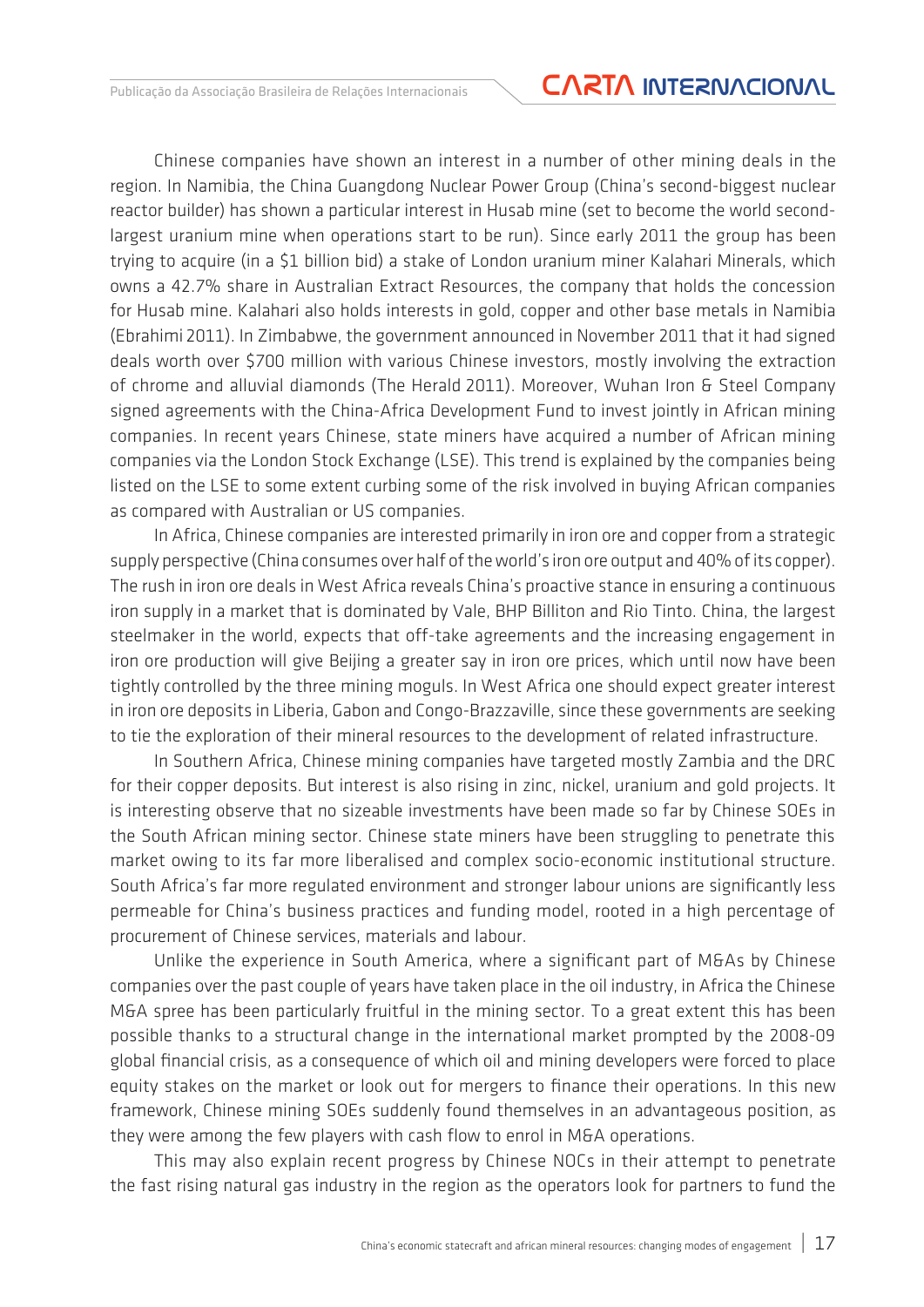Chinese companies have shown an interest in a number of other mining deals in the region. In Namibia, the China Guangdong Nuclear Power Group (China's second-biggest nuclear reactor builder) has shown a particular interest in Husab mine (set to become the world secondlargest uranium mine when operations start to be run). Since early 2011 the group has been trying to acquire (in a \$1 billion bid) a stake of London uranium miner Kalahari Minerals, which owns a 42.7% share in Australian Extract Resources, the company that holds the concession for Husab mine. Kalahari also holds interests in gold, copper and other base metals in Namibia (Ebrahimi 2011). In Zimbabwe, the government announced in November 2011 that it had signed deals worth over \$700 million with various Chinese investors, mostly involving the extraction of chrome and alluvial diamonds (The Herald 2011). Moreover, Wuhan Iron & Steel Company signed agreements with the China-Africa Development Fund to invest jointly in African mining companies. In recent years Chinese, state miners have acquired a number of African mining companies via the London Stock Exchange (LSE). This trend is explained by the companies being listed on the LSE to some extent curbing some of the risk involved in buying African companies as compared with Australian or US companies.

In Africa, Chinese companies are interested primarily in iron ore and copper from a strategic supply perspective (China consumes over half of the world's iron ore output and 40% of its copper). The rush in iron ore deals in West Africa reveals China's proactive stance in ensuring a continuous iron supply in a market that is dominated by Vale, BHP Billiton and Rio Tinto. China, the largest steelmaker in the world, expects that off-take agreements and the increasing engagement in iron ore production will give Beijing a greater say in iron ore prices, which until now have been tightly controlled by the three mining moguls. In West Africa one should expect greater interest in iron ore deposits in Liberia, Gabon and Congo-Brazzaville, since these governments are seeking to tie the exploration of their mineral resources to the development of related infrastructure.

In Southern Africa, Chinese mining companies have targeted mostly Zambia and the DRC for their copper deposits. But interest is also rising in zinc, nickel, uranium and gold projects. It is interesting observe that no sizeable investments have been made so far by Chinese SOEs in the South African mining sector. Chinese state miners have been struggling to penetrate this market owing to its far more liberalised and complex socio-economic institutional structure. South Africa's far more regulated environment and stronger labour unions are significantly less permeable for China's business practices and funding model, rooted in a high percentage of procurement of Chinese services, materials and labour.

Unlike the experience in South America, where a significant part of M&As by Chinese companies over the past couple of years have taken place in the oil industry, in Africa the Chinese M&A spree has been particularly fruitful in the mining sector. To a great extent this has been possible thanks to a structural change in the international market prompted by the 2008-09 global financial crisis, as a consequence of which oil and mining developers were forced to place equity stakes on the market or look out for mergers to finance their operations. In this new framework, Chinese mining SOEs suddenly found themselves in an advantageous position, as they were among the few players with cash flow to enrol in M&A operations.

This may also explain recent progress by Chinese NOCs in their attempt to penetrate the fast rising natural gas industry in the region as the operators look for partners to fund the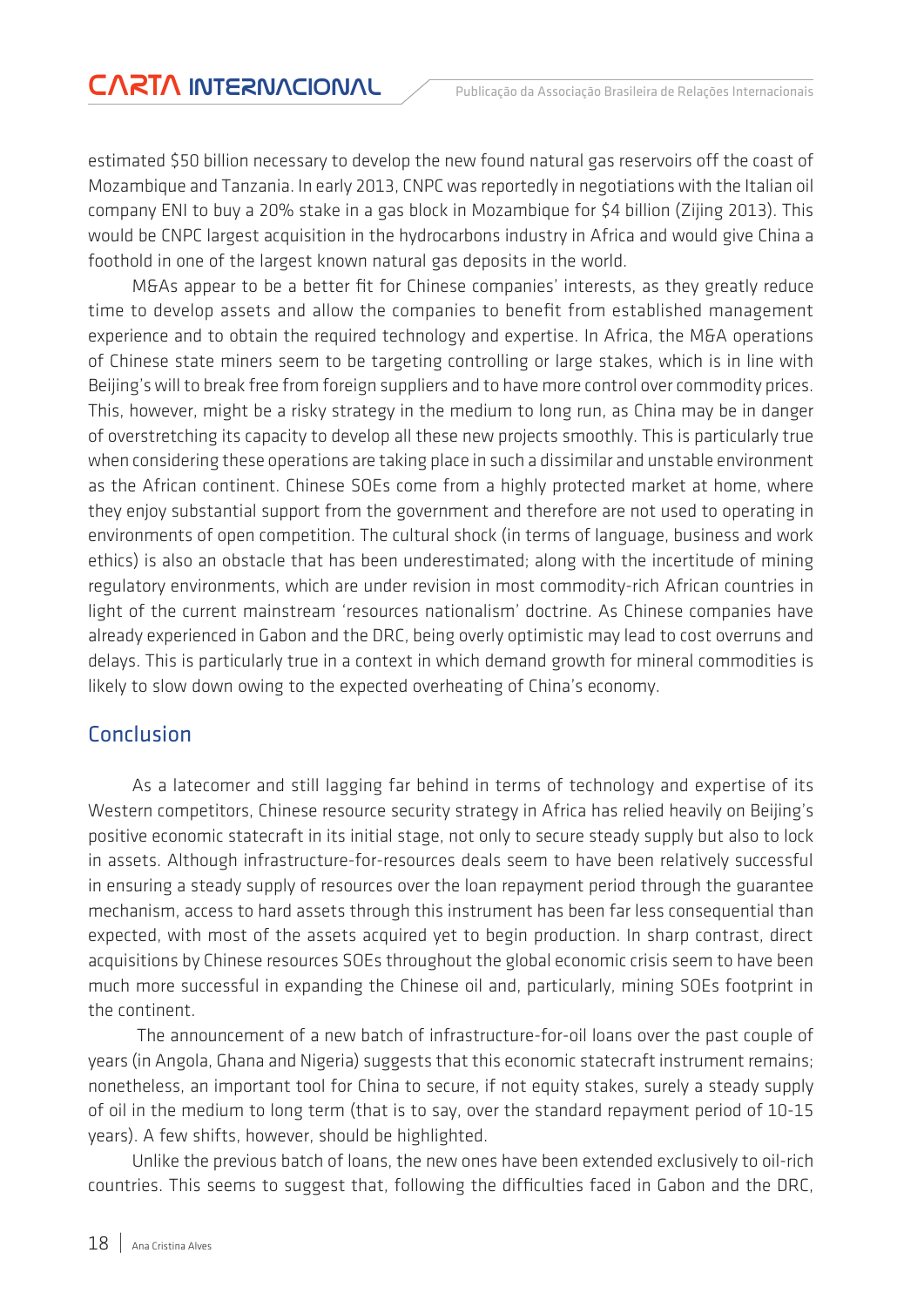estimated \$50 billion necessary to develop the new found natural gas reservoirs off the coast of Mozambique and Tanzania. In early 2013, CNPC was reportedly in negotiations with the Italian oil company ENI to buy a 20% stake in a gas block in Mozambique for \$4 billion (Zijing 2013). This would be CNPC largest acquisition in the hydrocarbons industry in Africa and would give China a foothold in one of the largest known natural gas deposits in the world.

M&As appear to be a better fit for Chinese companies' interests, as they greatly reduce time to develop assets and allow the companies to benefit from established management experience and to obtain the required technology and expertise. In Africa, the M&A operations of Chinese state miners seem to be targeting controlling or large stakes, which is in line with Beijing's will to break free from foreign suppliers and to have more control over commodity prices. This, however, might be a risky strategy in the medium to long run, as China may be in danger of overstretching its capacity to develop all these new projects smoothly. This is particularly true when considering these operations are taking place in such a dissimilar and unstable environment as the African continent. Chinese SOEs come from a highly protected market at home, where they enjoy substantial support from the government and therefore are not used to operating in environments of open competition. The cultural shock (in terms of language, business and work ethics) is also an obstacle that has been underestimated; along with the incertitude of mining regulatory environments, which are under revision in most commodity-rich African countries in light of the current mainstream 'resources nationalism' doctrine. As Chinese companies have already experienced in Gabon and the DRC, being overly optimistic may lead to cost overruns and delays. This is particularly true in a context in which demand growth for mineral commodities is likely to slow down owing to the expected overheating of China's economy.

### Conclusion

As a latecomer and still lagging far behind in terms of technology and expertise of its Western competitors, Chinese resource security strategy in Africa has relied heavily on Beijing's positive economic statecraft in its initial stage, not only to secure steady supply but also to lock in assets. Although infrastructure-for-resources deals seem to have been relatively successful in ensuring a steady supply of resources over the loan repayment period through the guarantee mechanism, access to hard assets through this instrument has been far less consequential than expected, with most of the assets acquired yet to begin production. In sharp contrast, direct acquisitions by Chinese resources SOEs throughout the global economic crisis seem to have been much more successful in expanding the Chinese oil and, particularly, mining SOEs footprint in the continent.

 The announcement of a new batch of infrastructure-for-oil loans over the past couple of years (in Angola, Ghana and Nigeria) suggests that this economic statecraft instrument remains; nonetheless, an important tool for China to secure, if not equity stakes, surely a steady supply of oil in the medium to long term (that is to say, over the standard repayment period of 10-15 years). A few shifts, however, should be highlighted.

Unlike the previous batch of loans, the new ones have been extended exclusively to oil-rich countries. This seems to suggest that, following the difficulties faced in Gabon and the DRC,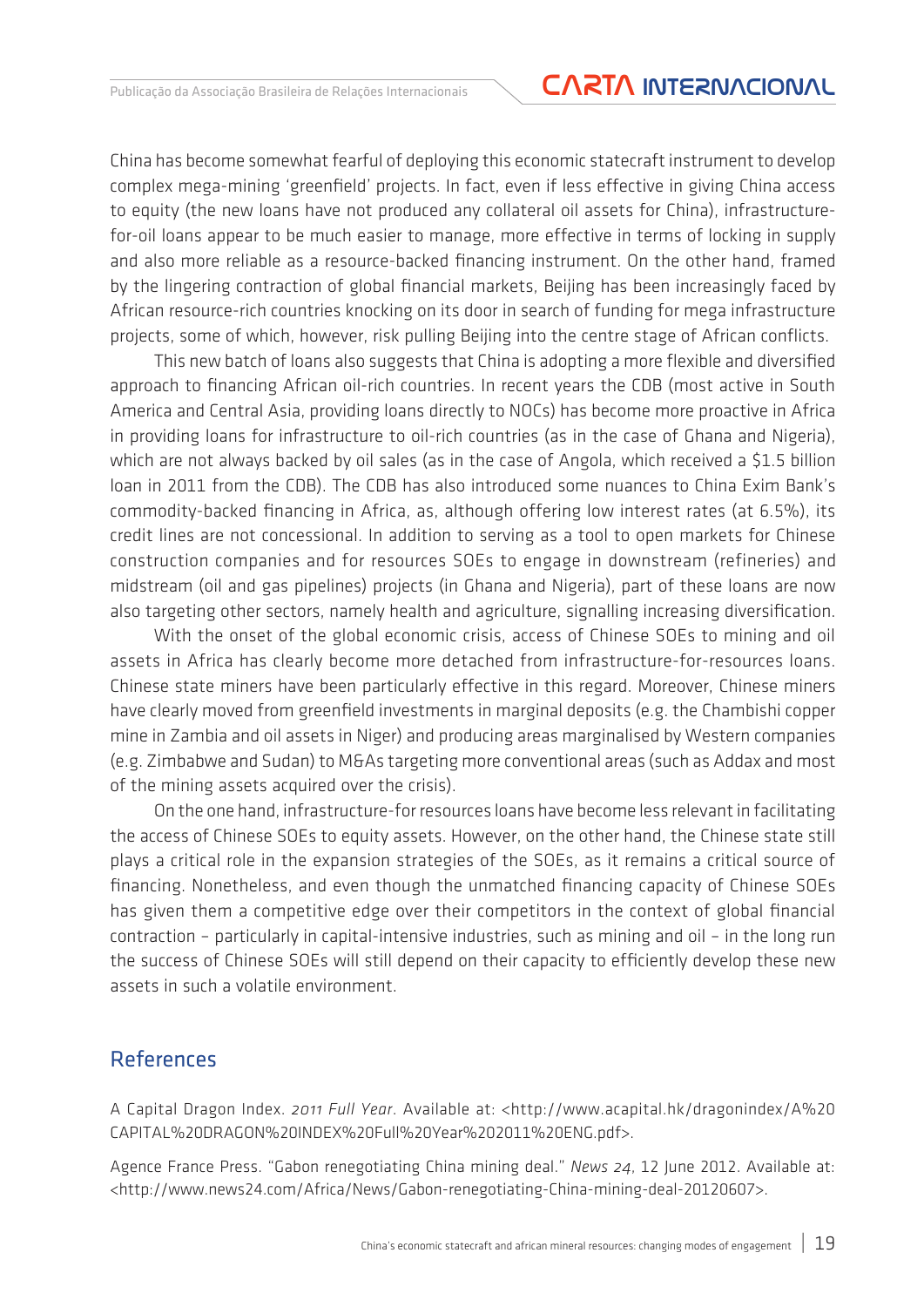China has become somewhat fearful of deploying this economic statecraft instrument to develop complex mega-mining 'greenfield' projects. In fact, even if less effective in giving China access to equity (the new loans have not produced any collateral oil assets for China), infrastructurefor-oil loans appear to be much easier to manage, more effective in terms of locking in supply and also more reliable as a resource-backed financing instrument. On the other hand, framed by the lingering contraction of global financial markets, Beijing has been increasingly faced by African resource-rich countries knocking on its door in search of funding for mega infrastructure projects, some of which, however, risk pulling Beijing into the centre stage of African conflicts.

This new batch of loans also suggests that China is adopting a more flexible and diversified approach to financing African oil-rich countries. In recent years the CDB (most active in South America and Central Asia, providing loans directly to NOCs) has become more proactive in Africa in providing loans for infrastructure to oil-rich countries (as in the case of Ghana and Nigeria), which are not always backed by oil sales (as in the case of Angola, which received a \$1.5 billion loan in 2011 from the CDB). The CDB has also introduced some nuances to China Exim Bank's commodity-backed financing in Africa, as, although offering low interest rates (at 6.5%), its credit lines are not concessional. In addition to serving as a tool to open markets for Chinese construction companies and for resources SOEs to engage in downstream (refineries) and midstream (oil and gas pipelines) projects (in Ghana and Nigeria), part of these loans are now also targeting other sectors, namely health and agriculture, signalling increasing diversification.

With the onset of the global economic crisis, access of Chinese SOEs to mining and oil assets in Africa has clearly become more detached from infrastructure-for-resources loans. Chinese state miners have been particularly effective in this regard. Moreover, Chinese miners have clearly moved from greenfield investments in marginal deposits (e.g. the Chambishi copper mine in Zambia and oil assets in Niger) and producing areas marginalised by Western companies (e.g. Zimbabwe and Sudan) to M&As targeting more conventional areas (such as Addax and most of the mining assets acquired over the crisis).

On the one hand, infrastructure-for resources loans have become less relevant in facilitating the access of Chinese SOEs to equity assets. However, on the other hand, the Chinese state still plays a critical role in the expansion strategies of the SOEs, as it remains a critical source of financing. Nonetheless, and even though the unmatched financing capacity of Chinese SOEs has given them a competitive edge over their competitors in the context of global financial contraction – particularly in capital-intensive industries, such as mining and oil – in the long run the success of Chinese SOEs will still depend on their capacity to efficiently develop these new assets in such a volatile environment.

#### References

A Capital Dragon Index. *2011 Full Year*. Available at: <http://www.acapital.hk/dragonindex/A%20 CAPITAL%20DRAGON%20INDEX%20Full%20Year%202011%20ENG.pdf>.

Agence France Press. "Gabon renegotiating China mining deal." *News 24*, 12 June 2012. Available at: <http://www.news24.com/Africa/News/Gabon-renegotiating-China-mining-deal-20120607>.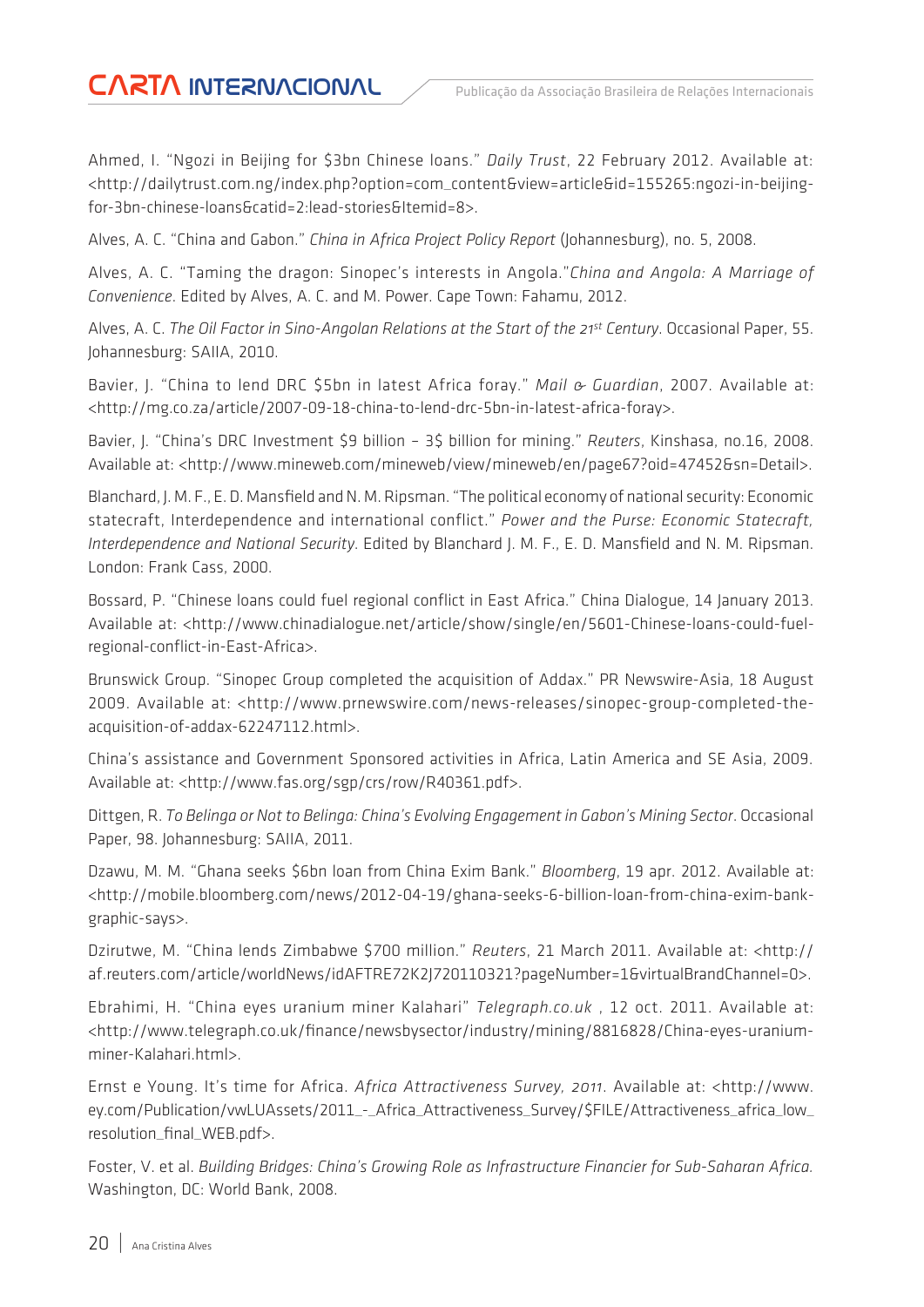Ahmed, I. "Ngozi in Beijing for \$3bn Chinese loans." *Daily Trust*, 22 February 2012. Available at: <http://dailytrust.com.ng/index.php?option=com\_content&view=article&id=155265:ngozi-in-beijingfor-3bn-chinese-loans&catid=2:lead-stories&Itemid=8>.

Alves, A. C. "China and Gabon." *China in Africa Project Policy Report* (Johannesburg), no. 5, 2008.

Alves, A. C. "Taming the dragon: Sinopec's interests in Angola."*China and Angola: A Marriage of Convenience*. Edited by Alves, A. C. and M. Power. Cape Town: Fahamu, 2012.

Alves, A. C. *The Oil Factor in Sino-Angolan Relations at the Start of the 21st Century*. Occasional Paper, 55. Johannesburg: SAIIA, 2010.

Bavier, J. "China to lend DRC \$5bn in latest Africa foray." *Mail & Guardian*, 2007. Available at: <http://mg.co.za/article/2007-09-18-china-to-lend-drc-5bn-in-latest-africa-foray>.

Bavier, J. "China's DRC Investment \$9 billion – 3\$ billion for mining." *Reuters*, Kinshasa, no.16, 2008. Available at: <http://www.mineweb.com/mineweb/view/mineweb/en/page67?oid=47452&sn=Detail>.

Blanchard, J. M. F., E. D. Mansfield and N. M. Ripsman. "The political economy of national security: Economic statecraft, Interdependence and international conflict." *Power and the Purse: Economic Statecraft, Interdependence and National Security*. Edited by Blanchard J. M. F., E. D. Mansfield and N. M. Ripsman. London: Frank Cass, 2000.

Bossard, P. "Chinese loans could fuel regional conflict in East Africa." China Dialogue, 14 January 2013. Available at: <http://www.chinadialogue.net/article/show/single/en/5601-Chinese-loans-could-fuelregional-conflict-in-East-Africa>.

Brunswick Group. "Sinopec Group completed the acquisition of Addax." PR Newswire-Asia, 18 August 2009. Available at: <http://www.prnewswire.com/news-releases/sinopec-group-completed-theacquisition-of-addax-62247112.html>.

China's assistance and Government Sponsored activities in Africa, Latin America and SE Asia, 2009. Available at: <http://www.fas.org/sgp/crs/row/R40361.pdf>.

Dittgen, R. *To Belinga or Not to Belinga: China's Evolving Engagement in Gabon's Mining Sector*. Occasional Paper, 98. Johannesburg: SAIIA, 2011.

Dzawu, M. M. "Ghana seeks \$6bn loan from China Exim Bank." *Bloomberg*, 19 apr. 2012. Available at: <http://mobile.bloomberg.com/news/2012-04-19/ghana-seeks-6-billion-loan-from-china-exim-bankgraphic-says>.

Dzirutwe, M. "China lends Zimbabwe \$700 million." *Reuters*, 21 March 2011. Available at: <http:// af.reuters.com/article/worldNews/idAFTRE72K2J720110321?pageNumber=1&virtualBrandChannel=0>.

Ebrahimi, H. "China eyes uranium miner Kalahari" *Telegraph.co.uk* , 12 oct. 2011. Available at: <http://www.telegraph.co.uk/finance/newsbysector/industry/mining/8816828/China-eyes-uraniumminer-Kalahari.html>.

Ernst e Young. It's time for Africa. *Africa Attractiveness Survey, 2011*. Available at: <http://www. ey.com/Publication/vwLUAssets/2011\_-\_Africa\_Attractiveness\_Survey/\$FILE/Attractiveness\_africa\_low\_ resolution\_final\_WEB.pdf>.

Foster, V. et al. *Building Bridges: China's Growing Role as Infrastructure Financier for Sub-Saharan Africa.* Washington, DC: World Bank, 2008.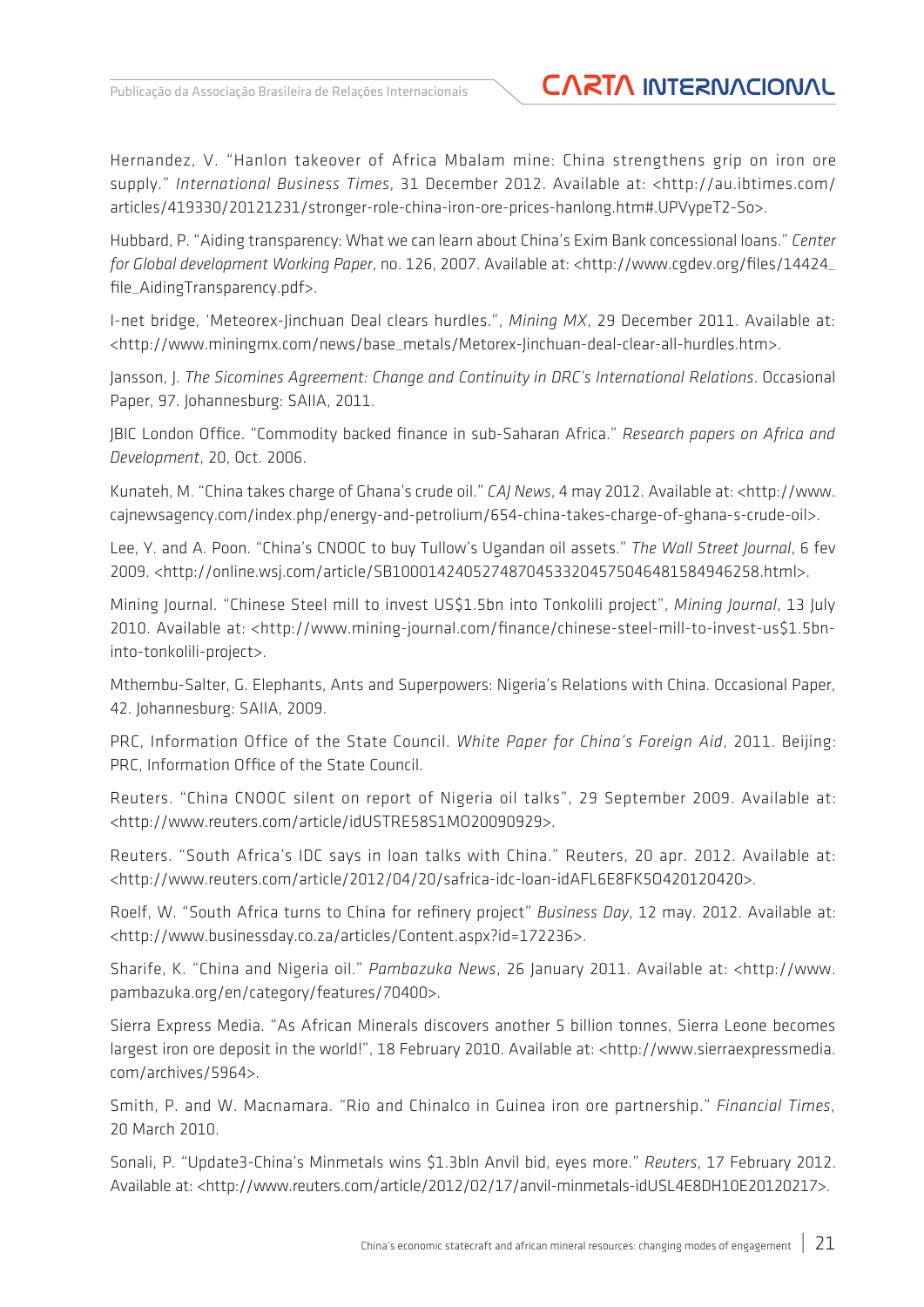### Publicação da Associação Brasileira de Relações Internacionais **CARTA INTERNACIONAL**

Hernandez, V. "Hanlon takeover of Africa Mbalam mine: China strengthens grip on iron ore supply." *International Business Times*, 31 December 2012. Available at: <http://au.ibtimes.com/ articles/419330/20121231/stronger-role-china-iron-ore-prices-hanlong.htm#.UPVypeT2-So>.

Hubbard, P. "Aiding transparency: What we can learn about China's Exim Bank concessional loans." *Center for Global development Working Paper*, no. 126, 2007. Available at: <http://www.cgdev.org/files/14424\_ file\_AidingTransparency.pdf>.

I-net bridge, 'Meteorex-Jinchuan Deal clears hurdles.", *Mining MX*, 29 December 2011. Available at: <http://www.miningmx.com/news/base\_metals/Metorex-Jinchuan-deal-clear-all-hurdles.htm>.

Jansson, J. *The Sicomines Agreement: Change and Continuity in DRC's International Relations*. Occasional Paper, 97. Johannesburg: SAIIA, 2011.

JBIC London Office. "Commodity backed finance in sub-Saharan Africa." *Research papers on Africa and Development*, 20, Oct. 2006.

Kunateh, M. "China takes charge of Ghana's crude oil." *CAJ News*, 4 may 2012. Available at: <http://www. cajnewsagency.com/index.php/energy-and-petrolium/654-china-takes-charge-of-ghana-s-crude-oil>.

Lee, Y. and A. Poon. "China's CNOOC to buy Tullow's Ugandan oil assets." *The Wall Street Journal*, 6 fev 2009. <http://online.wsj.com/article/SB10001424052748704533204575046481584946258.html>.

Mining Journal. "Chinese Steel mill to invest US\$1.5bn into Tonkolili project", *Mining Journal*, 13 July 2010. Available at: <http://www.mining-journal.com/finance/chinese-steel-mill-to-invest-us\$1.5bninto-tonkolili-project>.

Mthembu-Salter, G. Elephants, Ants and Superpowers: Nigeria's Relations with China. Occasional Paper, 42. Johannesburg: SAIIA, 2009.

PRC, Information Office of the State Council. *White Paper for China's Foreign Aid*, 2011. Beijing: PRC, Information Office of the State Council.

Reuters. "China CNOOC silent on report of Nigeria oil talks", 29 September 2009. Available at: <http://www.reuters.com/article/idUSTRE58S1MO20090929>.

Reuters. "South Africa's IDC says in loan talks with China." Reuters, 20 apr. 2012. Available at: <http://www.reuters.com/article/2012/04/20/safrica-idc-loan-idAFL6E8FK5O420120420>.

Roelf, W. "South Africa turns to China for refinery project" *Business Day*, 12 may. 2012. Available at: <http://www.businessday.co.za/articles/Content.aspx?id=172236>.

Sharife, K. "China and Nigeria oil." *Pambazuka News*, 26 January 2011. Available at: <http://www. pambazuka.org/en/category/features/70400>.

Sierra Express Media. "As African Minerals discovers another 5 billion tonnes, Sierra Leone becomes largest iron ore deposit in the world!", 18 February 2010. Available at: <http://www.sierraexpressmedia. com/archives/5964>.

Smith, P. and W. Macnamara. "Rio and Chinalco in Guinea iron ore partnership." *Financial Times*, 20 March 2010.

Sonali, P. "Update3-China's Minmetals wins \$1.3bln Anvil bid, eyes more." *Reuters*, 17 February 2012. Available at: <http://www.reuters.com/article/2012/02/17/anvil-minmetals-idUSL4E8DH10E20120217>.